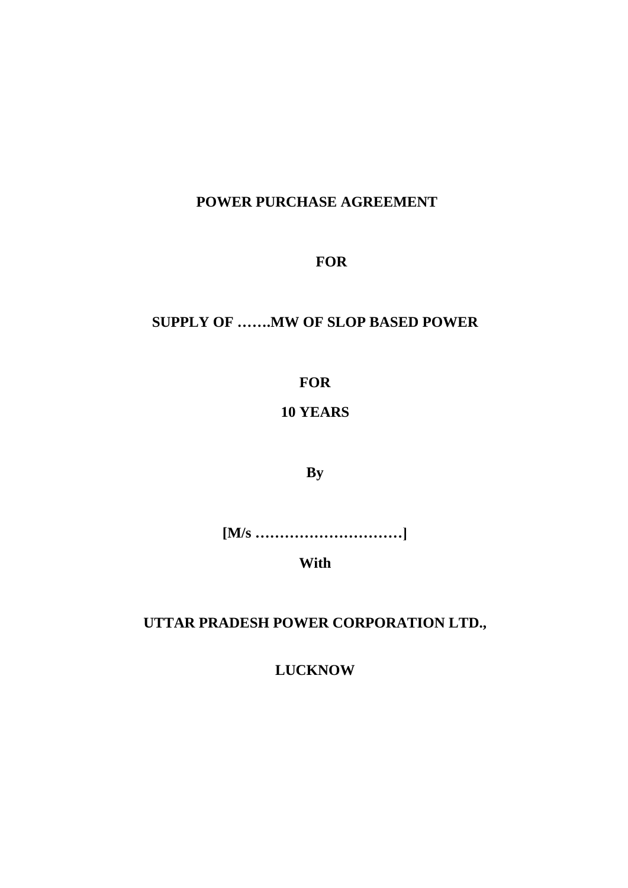# **POWER PURCHASE AGREEMENT**

# **FOR**

# **SUPPLY OF …….MW OF SLOP BASED POWER**

**FOR**

# **10 YEARS**

**By**

**[M/s …………………………]**

**With**

**UTTAR PRADESH POWER CORPORATION LTD.,**

**LUCKNOW**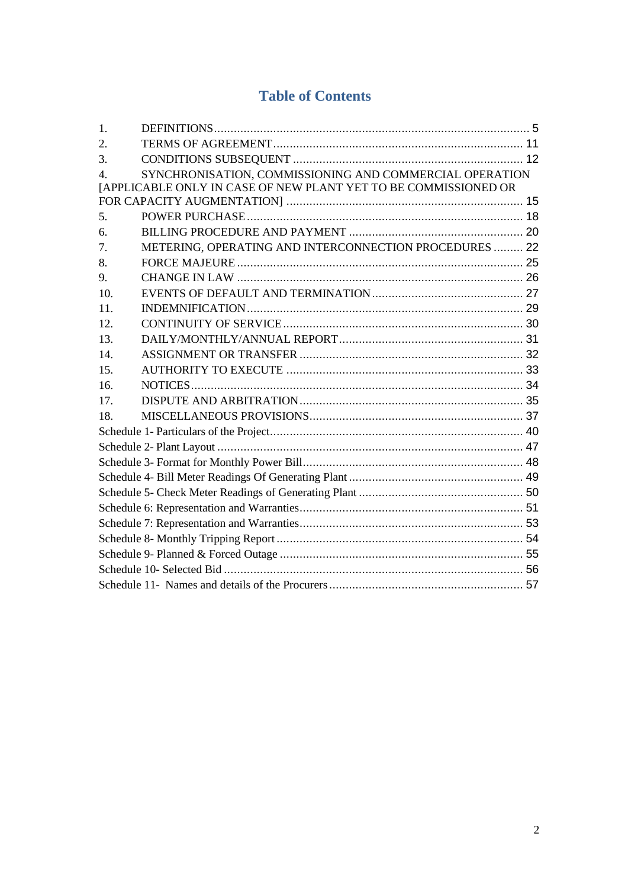# **Table of Contents**

| 1.             |                                                                 |  |
|----------------|-----------------------------------------------------------------|--|
| 2.             |                                                                 |  |
| 3.             |                                                                 |  |
| $\overline{4}$ | SYNCHRONISATION, COMMISSIONING AND COMMERCIAL OPERATION         |  |
|                | [APPLICABLE ONLY IN CASE OF NEW PLANT YET TO BE COMMISSIONED OR |  |
|                |                                                                 |  |
| 5.             |                                                                 |  |
| 6.             |                                                                 |  |
| 7.             | METERING, OPERATING AND INTERCONNECTION PROCEDURES  22          |  |
| 8.             |                                                                 |  |
| 9.             |                                                                 |  |
| 10.            |                                                                 |  |
| 11.            |                                                                 |  |
| 12.            |                                                                 |  |
| 13.            |                                                                 |  |
| 14.            |                                                                 |  |
| 15.            |                                                                 |  |
| 16.            |                                                                 |  |
| 17.            |                                                                 |  |
| 18.            |                                                                 |  |
|                |                                                                 |  |
|                |                                                                 |  |
|                |                                                                 |  |
|                |                                                                 |  |
|                |                                                                 |  |
|                |                                                                 |  |
|                |                                                                 |  |
|                |                                                                 |  |
|                |                                                                 |  |
|                |                                                                 |  |
|                |                                                                 |  |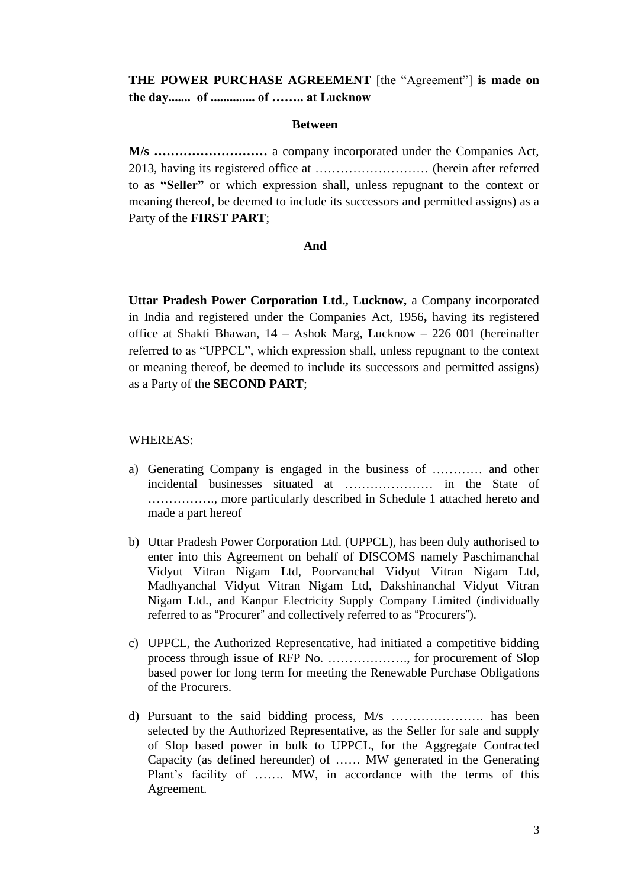## **THE POWER PURCHASE AGREEMENT** [the "Agreement"] **is made on the day....... of .............. of …….. at Lucknow**

#### **Between**

**M/s ………………………** a company incorporated under the Companies Act, 2013, having its registered office at ……………………… (herein after referred to as **"Seller"** or which expression shall, unless repugnant to the context or meaning thereof, be deemed to include its successors and permitted assigns) as a Party of the **FIRST PART**;

#### **And**

**Uttar Pradesh Power Corporation Ltd., Lucknow,** a Company incorporated in India and registered under the Companies Act, 1956**,** having its registered office at Shakti Bhawan, 14 – Ashok Marg, Lucknow – 226 001 (hereinafter referred to as "UPPCL", which expression shall, unless repugnant to the context or meaning thereof, be deemed to include its successors and permitted assigns) as a Party of the **SECOND PART**;

#### WHEREAS:

- a) Generating Company is engaged in the business of ………… and other incidental businesses situated at ………………… in the State of ……………., more particularly described in [Schedule 1](#page-39-0) attached hereto and made a part hereof
- b) Uttar Pradesh Power Corporation Ltd. (UPPCL), has been duly authorised to enter into this Agreement on behalf of DISCOMS namely Paschimanchal Vidyut Vitran Nigam Ltd, Poorvanchal Vidyut Vitran Nigam Ltd, Madhyanchal Vidyut Vitran Nigam Ltd, Dakshinanchal Vidyut Vitran Nigam Ltd., and Kanpur Electricity Supply Company Limited (individually referred to as "Procurer" and collectively referred to as "Procurers").
- c) UPPCL, the Authorized Representative, had initiated a competitive bidding process through issue of RFP No. ………………., for procurement of Slop based power for long term for meeting the Renewable Purchase Obligations of the Procurers.
- d) Pursuant to the said bidding process, M/s …………………. has been selected by the Authorized Representative, as the Seller for sale and supply of Slop based power in bulk to UPPCL, for the Aggregate Contracted Capacity (as defined hereunder) of …… MW generated in the Generating Plant's facility of ……. MW, in accordance with the terms of this Agreement.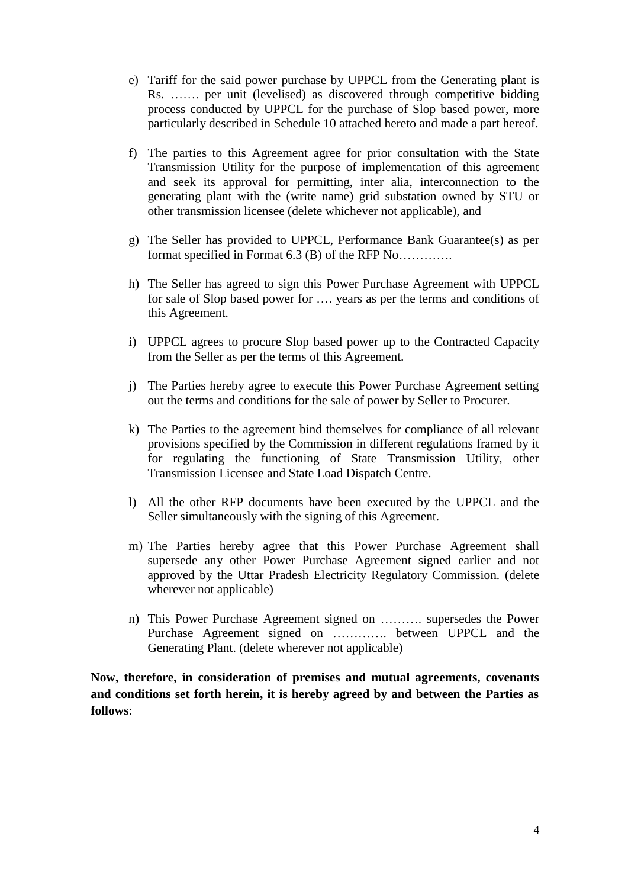- e) Tariff for the said power purchase by UPPCL from the Generating plant is Rs. ……. per unit (levelised) as discovered through competitive bidding process conducted by UPPCL for the purchase of Slop based power, more particularly described in Schedule 10 attached hereto and made a part hereof.
- f) The parties to this Agreement agree for prior consultation with the State Transmission Utility for the purpose of implementation of this agreement and seek its approval for permitting, inter alia, interconnection to the generating plant with the (write name) grid substation owned by STU or other transmission licensee (delete whichever not applicable), and
- g) The Seller has provided to UPPCL, Performance Bank Guarantee(s) as per format specified in Format 6.3 (B) of the RFP No………….
- h) The Seller has agreed to sign this Power Purchase Agreement with UPPCL for sale of Slop based power for …. years as per the terms and conditions of this Agreement.
- i) UPPCL agrees to procure Slop based power up to the Contracted Capacity from the Seller as per the terms of this Agreement.
- j) The Parties hereby agree to execute this Power Purchase Agreement setting out the terms and conditions for the sale of power by Seller to Procurer.
- k) The Parties to the agreement bind themselves for compliance of all relevant provisions specified by the Commission in different regulations framed by it for regulating the functioning of State Transmission Utility, other Transmission Licensee and State Load Dispatch Centre.
- l) All the other RFP documents have been executed by the UPPCL and the Seller simultaneously with the signing of this Agreement.
- m) The Parties hereby agree that this Power Purchase Agreement shall supersede any other Power Purchase Agreement signed earlier and not approved by the Uttar Pradesh Electricity Regulatory Commission. (delete wherever not applicable)
- n) This Power Purchase Agreement signed on ………. supersedes the Power Purchase Agreement signed on …………. between UPPCL and the Generating Plant. (delete wherever not applicable)

**Now, therefore, in consideration of premises and mutual agreements, covenants and conditions set forth herein, it is hereby agreed by and between the Parties as follows**: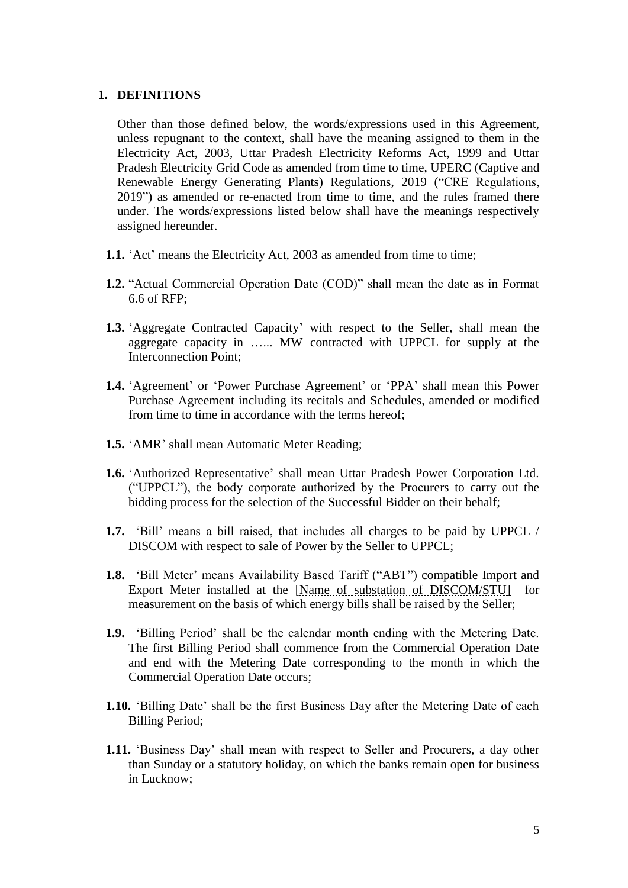### <span id="page-4-0"></span>**1. DEFINITIONS**

Other than those defined below, the words/expressions used in this Agreement, unless repugnant to the context, shall have the meaning assigned to them in the Electricity Act, 2003, Uttar Pradesh Electricity Reforms Act, 1999 and Uttar Pradesh Electricity Grid Code as amended from time to time, UPERC (Captive and Renewable Energy Generating Plants) Regulations, 2019 ("CRE Regulations, 2019") as amended or re-enacted from time to time, and the rules framed there under. The words/expressions listed below shall have the meanings respectively assigned hereunder.

- **1.1.** 'Act' means the Electricity Act, 2003 as amended from time to time;
- **1.2.** "Actual Commercial Operation Date (COD)" shall mean the date as in Format 6.6 of RFP;
- **1.3.** 'Aggregate Contracted Capacity' with respect to the Seller, shall mean the aggregate capacity in …... MW contracted with UPPCL for supply at the Interconnection Point;
- **1.4.** 'Agreement' or 'Power Purchase Agreement' or 'PPA' shall mean this Power Purchase Agreement including its recitals and Schedules, amended or modified from time to time in accordance with the terms hereof;
- **1.5.** 'AMR' shall mean Automatic Meter Reading;
- **1.6.** 'Authorized Representative' shall mean Uttar Pradesh Power Corporation Ltd. ("UPPCL"), the body corporate authorized by the Procurers to carry out the bidding process for the selection of the Successful Bidder on their behalf;
- **1.7.** 'Bill' means a bill raised, that includes all charges to be paid by UPPCL / DISCOM with respect to sale of Power by the Seller to UPPCL;
- **1.8.** 'Bill Meter' means Availability Based Tariff ("ABT") compatible Import and Export Meter installed at the [Name of substation of DISCOM/STU] for measurement on the basis of which energy bills shall be raised by the Seller;
- **1.9.** 'Billing Period' shall be the calendar month ending with the Metering Date. The first Billing Period shall commence from the Commercial Operation Date and end with the Metering Date corresponding to the month in which the Commercial Operation Date occurs;
- **1.10.** 'Billing Date' shall be the first Business Day after the Metering Date of each Billing Period;
- **1.11.** 'Business Day' shall mean with respect to Seller and Procurers, a day other than Sunday or a statutory holiday, on which the banks remain open for business in Lucknow;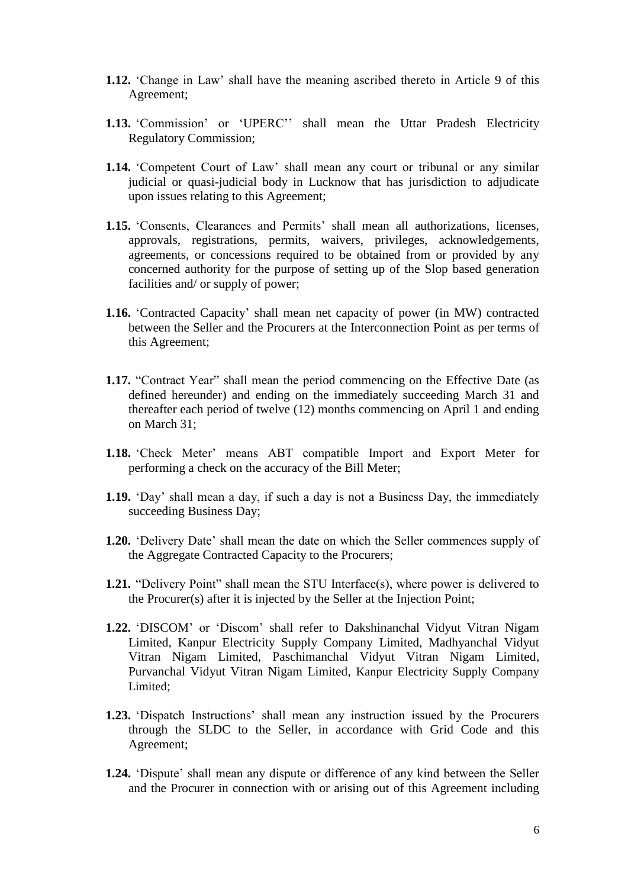- **1.12.** 'Change in Law' shall have the meaning ascribed thereto in Article [9](#page-25-0) of this Agreement;
- **1.13.** 'Commission' or 'UPERC'' shall mean the Uttar Pradesh Electricity Regulatory Commission;
- **1.14.** 'Competent Court of Law' shall mean any court or tribunal or any similar judicial or quasi-judicial body in Lucknow that has jurisdiction to adjudicate upon issues relating to this Agreement;
- **1.15.** 'Consents, Clearances and Permits' shall mean all authorizations, licenses, approvals, registrations, permits, waivers, privileges, acknowledgements, agreements, or concessions required to be obtained from or provided by any concerned authority for the purpose of setting up of the Slop based generation facilities and/ or supply of power;
- **1.16.** 'Contracted Capacity' shall mean net capacity of power (in MW) contracted between the Seller and the Procurers at the Interconnection Point as per terms of this Agreement;
- **1.17.** "Contract Year" shall mean the period commencing on the Effective Date (as defined hereunder) and ending on the immediately succeeding March 31 and thereafter each period of twelve (12) months commencing on April 1 and ending on March 31;
- **1.18.** 'Check Meter' means ABT compatible Import and Export Meter for performing a check on the accuracy of the Bill Meter;
- **1.19.** 'Day' shall mean a day, if such a day is not a Business Day, the immediately succeeding Business Day;
- **1.20.** 'Delivery Date' shall mean the date on which the Seller commences supply of the Aggregate Contracted Capacity to the Procurers;
- **1.21.** "Delivery Point" shall mean the STU Interface(s), where power is delivered to the Procurer(s) after it is injected by the Seller at the Injection Point;
- **1.22.** 'DISCOM' or 'Discom' shall refer to Dakshinanchal Vidyut Vitran Nigam Limited, Kanpur Electricity Supply Company Limited, Madhyanchal Vidyut Vitran Nigam Limited, Paschimanchal Vidyut Vitran Nigam Limited, Purvanchal Vidyut Vitran Nigam Limited, Kanpur Electricity Supply Company Limited;
- **1.23.** 'Dispatch Instructions' shall mean any instruction issued by the Procurers through the SLDC to the Seller, in accordance with Grid Code and this Agreement;
- **1.24.** 'Dispute' shall mean any dispute or difference of any kind between the Seller and the Procurer in connection with or arising out of this Agreement including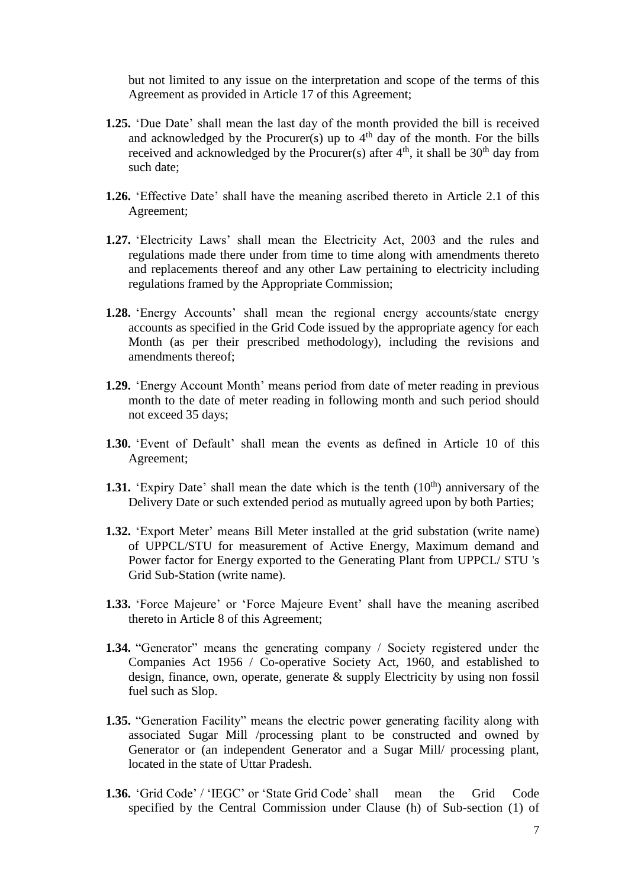but not limited to any issue on the interpretation and scope of the terms of this Agreement as provided in Article [17](#page-34-0) of this Agreement;

- **1.25.** 'Due Date' shall mean the last day of the month provided the bill is received and acknowledged by the Procurer(s) up to  $4<sup>th</sup>$  day of the month. For the bills received and acknowledged by the Procurer(s) after  $4<sup>th</sup>$ , it shall be  $30<sup>th</sup>$  day from such date;
- **1.26.** 'Effective Date' shall have the meaning ascribed thereto in Article [2.1](#page-10-1) of this Agreement;
- **1.27.** 'Electricity Laws' shall mean the Electricity Act, 2003 and the rules and regulations made there under from time to time along with amendments thereto and replacements thereof and any other Law pertaining to electricity including regulations framed by the Appropriate Commission;
- **1.28.** 'Energy Accounts' shall mean the regional energy accounts/state energy accounts as specified in the Grid Code issued by the appropriate agency for each Month (as per their prescribed methodology), including the revisions and amendments thereof;
- **1.29.** 'Energy Account Month' means period from date of meter reading in previous month to the date of meter reading in following month and such period should not exceed 35 days;
- **1.30.** 'Event of Default' shall mean the events as defined in Article [10](#page-26-0) of this Agreement;
- **1.31.** 'Expiry Date' shall mean the date which is the tenth  $(10<sup>th</sup>)$  anniversary of the Delivery Date or such extended period as mutually agreed upon by both Parties;
- **1.32.** 'Export Meter' means Bill Meter installed at the grid substation (write name) of UPPCL/STU for measurement of Active Energy, Maximum demand and Power factor for Energy exported to the Generating Plant from UPPCL/ STU 's Grid Sub-Station (write name).
- **1.33.** 'Force Majeure' or 'Force Majeure Event' shall have the meaning ascribed thereto in Article [8](#page-24-0) of this Agreement;
- **1.34.** "Generator" means the generating company / Society registered under the Companies Act 1956 / Co-operative Society Act, 1960, and established to design, finance, own, operate, generate & supply Electricity by using non fossil fuel such as Slop.
- **1.35.** "Generation Facility" means the electric power generating facility along with associated Sugar Mill /processing plant to be constructed and owned by Generator or (an independent Generator and a Sugar Mill/ processing plant, located in the state of Uttar Pradesh.
- **1.36.** 'Grid Code' / 'IEGC' or 'State Grid Code' shall mean the Grid Code specified by the Central Commission under Clause (h) of Sub-section (1) of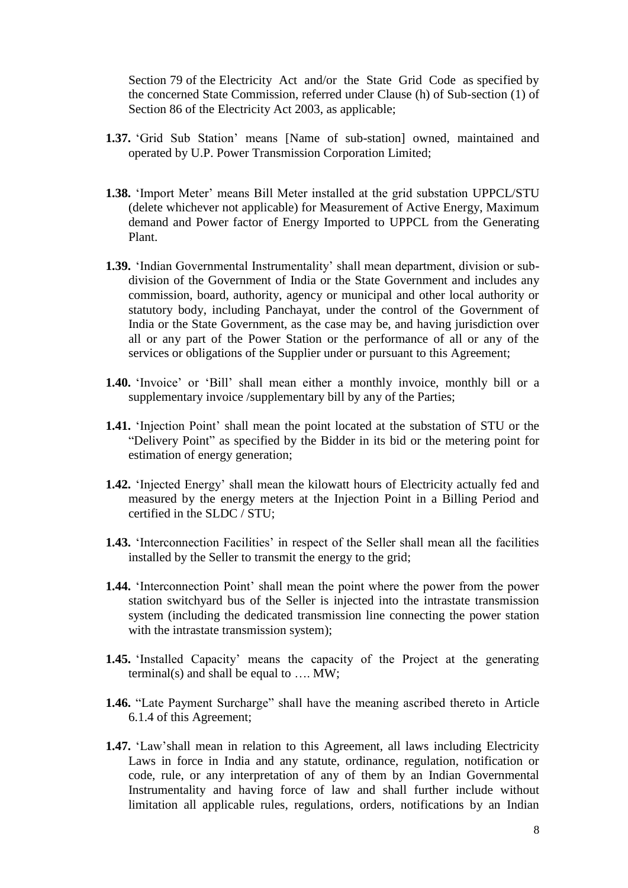Section 79 of the Electricity Act and/or the State Grid Code as specified by the concerned State Commission, referred under Clause (h) of Sub-section (1) of Section 86 of the Electricity Act 2003, as applicable;

- **1.37.** 'Grid Sub Station' means [Name of sub-station] owned, maintained and operated by U.P. Power Transmission Corporation Limited;
- **1.38.** 'Import Meter' means Bill Meter installed at the grid substation UPPCL/STU (delete whichever not applicable) for Measurement of Active Energy, Maximum demand and Power factor of Energy Imported to UPPCL from the Generating Plant.
- **1.39.** 'Indian Governmental Instrumentality' shall mean department, division or subdivision of the Government of India or the State Government and includes any commission, board, authority, agency or municipal and other local authority or statutory body, including Panchayat, under the control of the Government of India or the State Government, as the case may be, and having jurisdiction over all or any part of the Power Station or the performance of all or any of the services or obligations of the Supplier under or pursuant to this Agreement;
- **1.40.** 'Invoice' or 'Bill' shall mean either a monthly invoice, monthly bill or a supplementary invoice /supplementary bill by any of the Parties;
- **1.41.** 'Injection Point' shall mean the point located at the substation of STU or the "Delivery Point" as specified by the Bidder in its bid or the metering point for estimation of energy generation;
- **1.42.** 'Injected Energy' shall mean the kilowatt hours of Electricity actually fed and measured by the energy meters at the Injection Point in a Billing Period and certified in the SLDC / STU;
- **1.43.** 'Interconnection Facilities' in respect of the Seller shall mean all the facilities installed by the Seller to transmit the energy to the grid;
- **1.44.** 'Interconnection Point' shall mean the point where the power from the power station switchyard bus of the Seller is injected into the intrastate transmission system (including the dedicated transmission line connecting the power station with the intrastate transmission system);
- **1.45.** 'Installed Capacity' means the capacity of the Project at the generating terminal(s) and shall be equal to  $\dots$  MW;
- **1.46.** "Late Payment Surcharge" shall have the meaning ascribed thereto in Article [6.1.4](#page-19-1) of this Agreement;
- **1.47.** 'Law'shall mean in relation to this Agreement, all laws including Electricity Laws in force in India and any statute, ordinance, regulation, notification or code, rule, or any interpretation of any of them by an Indian Governmental Instrumentality and having force of law and shall further include without limitation all applicable rules, regulations, orders, notifications by an Indian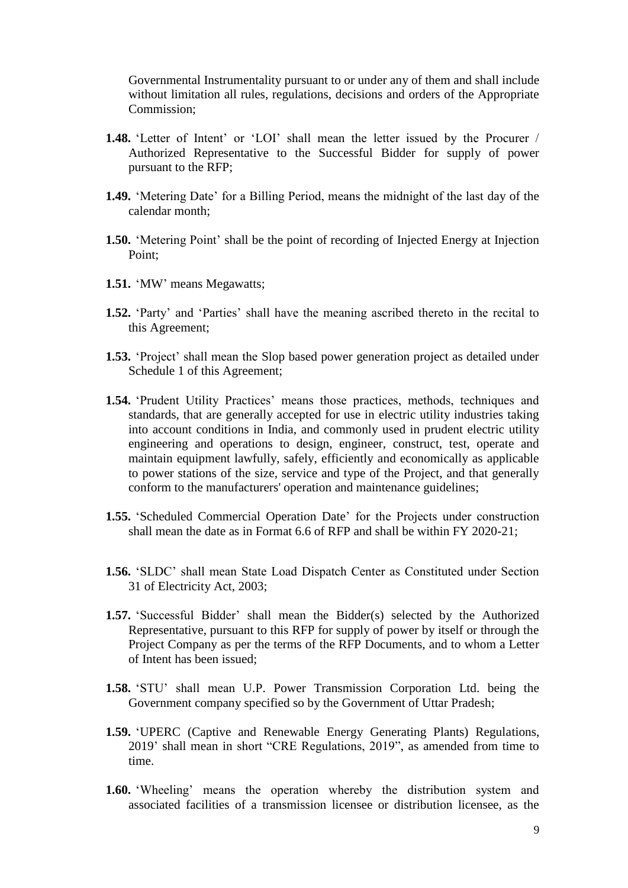Governmental Instrumentality pursuant to or under any of them and shall include without limitation all rules, regulations, decisions and orders of the Appropriate Commission;

- **1.48.** 'Letter of Intent' or 'LOI' shall mean the letter issued by the Procurer / Authorized Representative to the Successful Bidder for supply of power pursuant to the RFP;
- **1.49.** 'Metering Date' for a Billing Period, means the midnight of the last day of the calendar month;
- **1.50.** 'Metering Point' shall be the point of recording of Injected Energy at Injection Point;
- **1.51.** 'MW' means Megawatts;
- **1.52.** 'Party' and 'Parties' shall have the meaning ascribed thereto in the recital to this Agreement;
- **1.53.** 'Project' shall mean the Slop based power generation project as detailed under [Schedule 1](#page-39-0) of this Agreement;
- **1.54.** 'Prudent Utility Practices' means those practices, methods, techniques and standards, that are generally accepted for use in electric utility industries taking into account conditions in India, and commonly used in prudent electric utility engineering and operations to design, engineer, construct, test, operate and maintain equipment lawfully, safely, efficiently and economically as applicable to power stations of the size, service and type of the Project, and that generally conform to the manufacturers' operation and maintenance guidelines;
- **1.55.** 'Scheduled Commercial Operation Date' for the Projects under construction shall mean the date as in Format 6.6 of RFP and shall be within FY 2020-21;
- **1.56.** 'SLDC' shall mean State Load Dispatch Center as Constituted under Section 31 of Electricity Act, 2003;
- **1.57.** 'Successful Bidder' shall mean the Bidder(s) selected by the Authorized Representative, pursuant to this RFP for supply of power by itself or through the Project Company as per the terms of the RFP Documents, and to whom a Letter of Intent has been issued;
- **1.58.** 'STU' shall mean U.P. Power Transmission Corporation Ltd. being the Government company specified so by the Government of Uttar Pradesh;
- **1.59.** 'UPERC (Captive and Renewable Energy Generating Plants) Regulations, 2019' shall mean in short "CRE Regulations, 2019", as amended from time to time.
- **1.60.** 'Wheeling' means the operation whereby the distribution system and associated facilities of a transmission licensee or distribution licensee, as the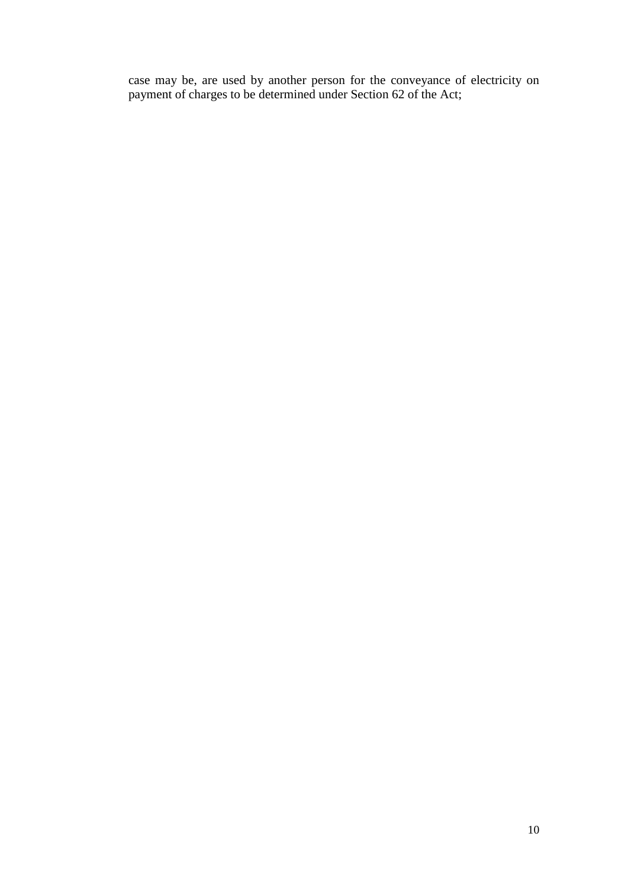case may be, are used by another person for the conveyance of electricity on payment of charges to be determined under Section 62 of the Act;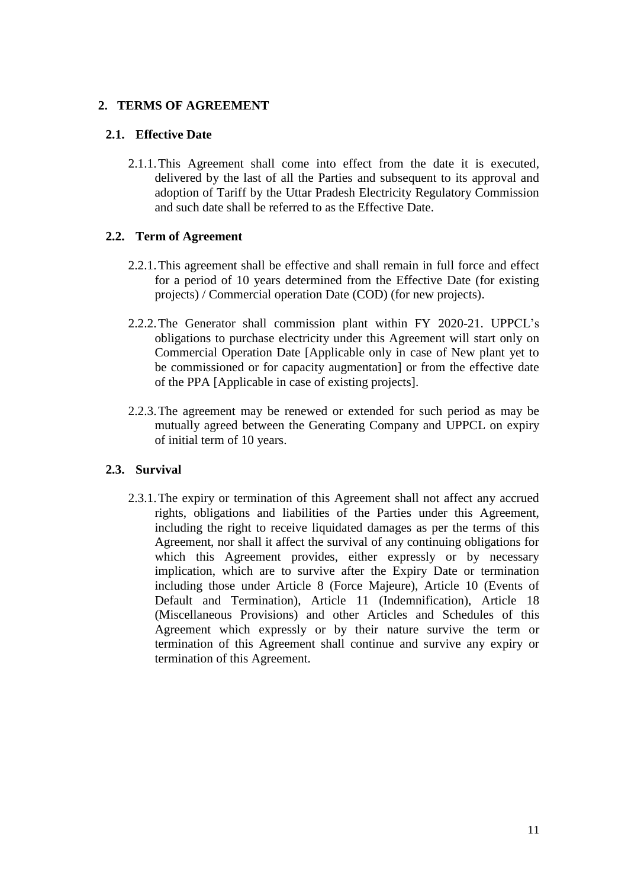## <span id="page-10-0"></span>**2. TERMS OF AGREEMENT**

## <span id="page-10-1"></span>**2.1. Effective Date**

2.1.1.This Agreement shall come into effect from the date it is executed, delivered by the last of all the Parties and subsequent to its approval and adoption of Tariff by the Uttar Pradesh Electricity Regulatory Commission and such date shall be referred to as the Effective Date.

## **2.2. Term of Agreement**

- 2.2.1.This agreement shall be effective and shall remain in full force and effect for a period of 10 years determined from the Effective Date (for existing projects) / Commercial operation Date (COD) (for new projects).
- 2.2.2.The Generator shall commission plant within FY 2020-21. UPPCL's obligations to purchase electricity under this Agreement will start only on Commercial Operation Date [Applicable only in case of New plant yet to be commissioned or for capacity augmentation] or from the effective date of the PPA [Applicable in case of existing projects].
- 2.2.3.The agreement may be renewed or extended for such period as may be mutually agreed between the Generating Company and UPPCL on expiry of initial term of 10 years.

## **2.3. Survival**

2.3.1.The expiry or termination of this Agreement shall not affect any accrued rights, obligations and liabilities of the Parties under this Agreement, including the right to receive liquidated damages as per the terms of this Agreement, nor shall it affect the survival of any continuing obligations for which this Agreement provides, either expressly or by necessary implication, which are to survive after the Expiry Date or termination including those under Article [8](#page-24-0) (Force Majeure), Article [10](#page-26-0) (Events of Default and Termination), Article [11](#page-28-0) (Indemnification), Article [18](#page-36-0) (Miscellaneous Provisions) and other Articles and Schedules of this Agreement which expressly or by their nature survive the term or termination of this Agreement shall continue and survive any expiry or termination of this Agreement.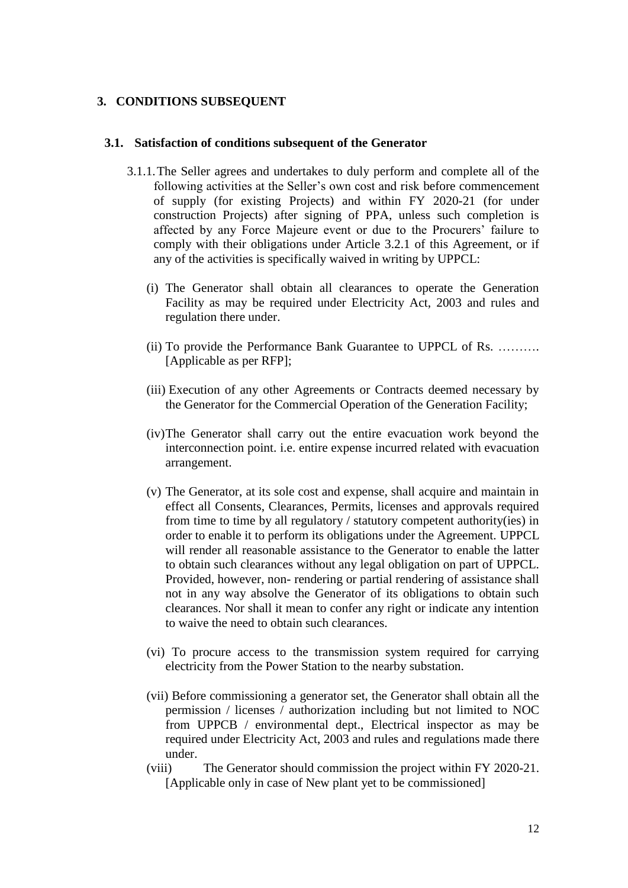#### <span id="page-11-0"></span>**3. CONDITIONS SUBSEQUENT**

#### <span id="page-11-1"></span>**3.1. Satisfaction of conditions subsequent of the Generator**

- 3.1.1.The Seller agrees and undertakes to duly perform and complete all of the following activities at the Seller's own cost and risk before commencement of supply (for existing Projects) and within FY 2020-21 (for under construction Projects) after signing of PPA, unless such completion is affected by any Force Majeure event or due to the Procurers' failure to comply with their obligations under Article [3.2.1](#page-12-0) of this Agreement, or if any of the activities is specifically waived in writing by UPPCL:
	- (i) The Generator shall obtain all clearances to operate the Generation Facility as may be required under Electricity Act, 2003 and rules and regulation there under.
	- (ii) To provide the Performance Bank Guarantee to UPPCL of Rs. ………. [Applicable as per RFP];
	- (iii) Execution of any other Agreements or Contracts deemed necessary by the Generator for the Commercial Operation of the Generation Facility;
	- (iv)The Generator shall carry out the entire evacuation work beyond the interconnection point. i.e. entire expense incurred related with evacuation arrangement.
	- (v) The Generator, at its sole cost and expense, shall acquire and maintain in effect all Consents, Clearances, Permits, licenses and approvals required from time to time by all regulatory / statutory competent authority(ies) in order to enable it to perform its obligations under the Agreement. UPPCL will render all reasonable assistance to the Generator to enable the latter to obtain such clearances without any legal obligation on part of UPPCL. Provided, however, non- rendering or partial rendering of assistance shall not in any way absolve the Generator of its obligations to obtain such clearances. Nor shall it mean to confer any right or indicate any intention to waive the need to obtain such clearances.
	- (vi) To procure access to the transmission system required for carrying electricity from the Power Station to the nearby substation.
	- (vii) Before commissioning a generator set, the Generator shall obtain all the permission / licenses / authorization including but not limited to NOC from UPPCB / environmental dept., Electrical inspector as may be required under Electricity Act, 2003 and rules and regulations made there under.
	- (viii) The Generator should commission the project within FY 2020-21. [Applicable only in case of New plant yet to be commissioned]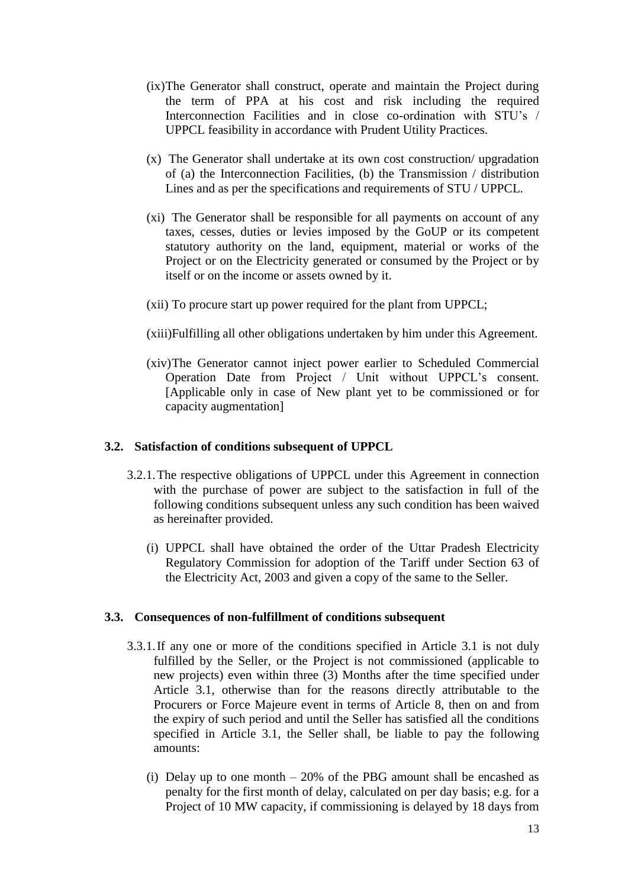- (ix)The Generator shall construct, operate and maintain the Project during the term of PPA at his cost and risk including the required Interconnection Facilities and in close co-ordination with STU's / UPPCL feasibility in accordance with Prudent Utility Practices.
- (x) The Generator shall undertake at its own cost construction/ upgradation of (a) the Interconnection Facilities, (b) the Transmission / distribution Lines and as per the specifications and requirements of STU / UPPCL.
- (xi) The Generator shall be responsible for all payments on account of any taxes, cesses, duties or levies imposed by the GoUP or its competent statutory authority on the land, equipment, material or works of the Project or on the Electricity generated or consumed by the Project or by itself or on the income or assets owned by it.
- (xii) To procure start up power required for the plant from UPPCL;
- (xiii)Fulfilling all other obligations undertaken by him under this Agreement.
- (xiv)The Generator cannot inject power earlier to Scheduled Commercial Operation Date from Project / Unit without UPPCL's consent. [Applicable only in case of New plant yet to be commissioned or for capacity augmentation]

## <span id="page-12-0"></span>**3.2. Satisfaction of conditions subsequent of UPPCL**

- 3.2.1.The respective obligations of UPPCL under this Agreement in connection with the purchase of power are subject to the satisfaction in full of the following conditions subsequent unless any such condition has been waived as hereinafter provided.
	- (i) UPPCL shall have obtained the order of the Uttar Pradesh Electricity Regulatory Commission for adoption of the Tariff under Section 63 of the Electricity Act, 2003 and given a copy of the same to the Seller.

#### <span id="page-12-1"></span>**3.3. Consequences of non-fulfillment of conditions subsequent**

- 3.3.1.If any one or more of the conditions specified in Article [3.1](#page-11-1) is not duly fulfilled by the Seller, or the Project is not commissioned (applicable to new projects) even within three (3) Months after the time specified under Article [3.1,](#page-11-1) otherwise than for the reasons directly attributable to the Procurers or Force Majeure event in terms of Article [8,](#page-24-0) then on and from the expiry of such period and until the Seller has satisfied all the conditions specified in Article [3.1,](#page-11-1) the Seller shall, be liable to pay the following amounts:
	- (i) Delay up to one month  $-20\%$  of the PBG amount shall be encashed as penalty for the first month of delay, calculated on per day basis; e.g. for a Project of 10 MW capacity, if commissioning is delayed by 18 days from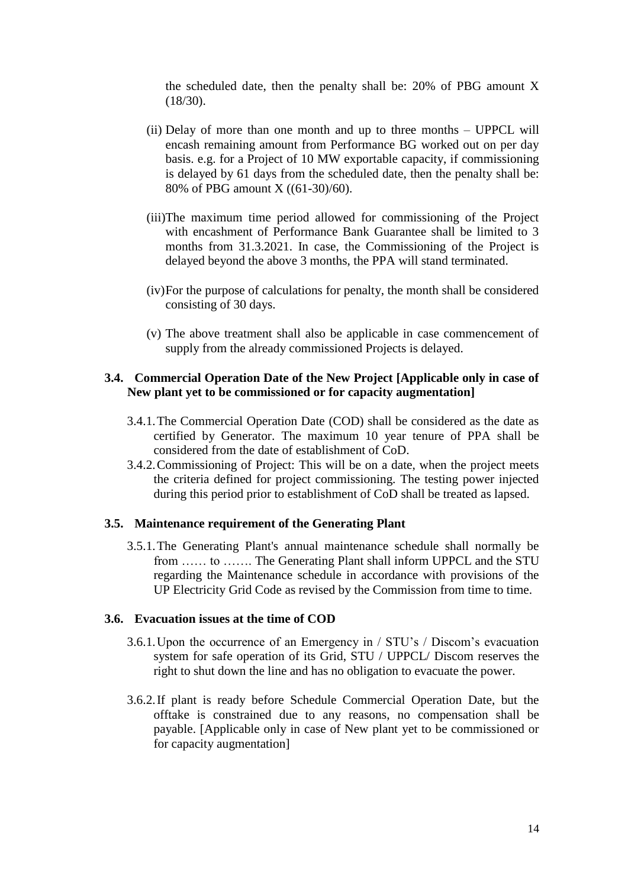the scheduled date, then the penalty shall be: 20% of PBG amount X (18/30).

- (ii) Delay of more than one month and up to three months UPPCL will encash remaining amount from Performance BG worked out on per day basis. e.g. for a Project of 10 MW exportable capacity, if commissioning is delayed by 61 days from the scheduled date, then the penalty shall be: 80% of PBG amount X ((61-30)/60).
- (iii)The maximum time period allowed for commissioning of the Project with encashment of Performance Bank Guarantee shall be limited to 3 months from 31.3.2021. In case, the Commissioning of the Project is delayed beyond the above 3 months, the PPA will stand terminated.
- (iv)For the purpose of calculations for penalty, the month shall be considered consisting of 30 days.
- (v) The above treatment shall also be applicable in case commencement of supply from the already commissioned Projects is delayed.

### **3.4. Commercial Operation Date of the New Project [Applicable only in case of New plant yet to be commissioned or for capacity augmentation]**

- 3.4.1.The Commercial Operation Date (COD) shall be considered as the date as certified by Generator. The maximum 10 year tenure of PPA shall be considered from the date of establishment of CoD.
- 3.4.2.Commissioning of Project: This will be on a date, when the project meets the criteria defined for project commissioning. The testing power injected during this period prior to establishment of CoD shall be treated as lapsed.

#### **3.5. Maintenance requirement of the Generating Plant**

3.5.1.The Generating Plant's annual maintenance schedule shall normally be from …… to ……. The Generating Plant shall inform UPPCL and the STU regarding the Maintenance schedule in accordance with provisions of the UP Electricity Grid Code as revised by the Commission from time to time.

#### **3.6. Evacuation issues at the time of COD**

- 3.6.1.Upon the occurrence of an Emergency in / STU's / Discom's evacuation system for safe operation of its Grid, STU / UPPCL/ Discom reserves the right to shut down the line and has no obligation to evacuate the power.
- 3.6.2.If plant is ready before Schedule Commercial Operation Date, but the offtake is constrained due to any reasons, no compensation shall be payable. [Applicable only in case of New plant yet to be commissioned or for capacity augmentation]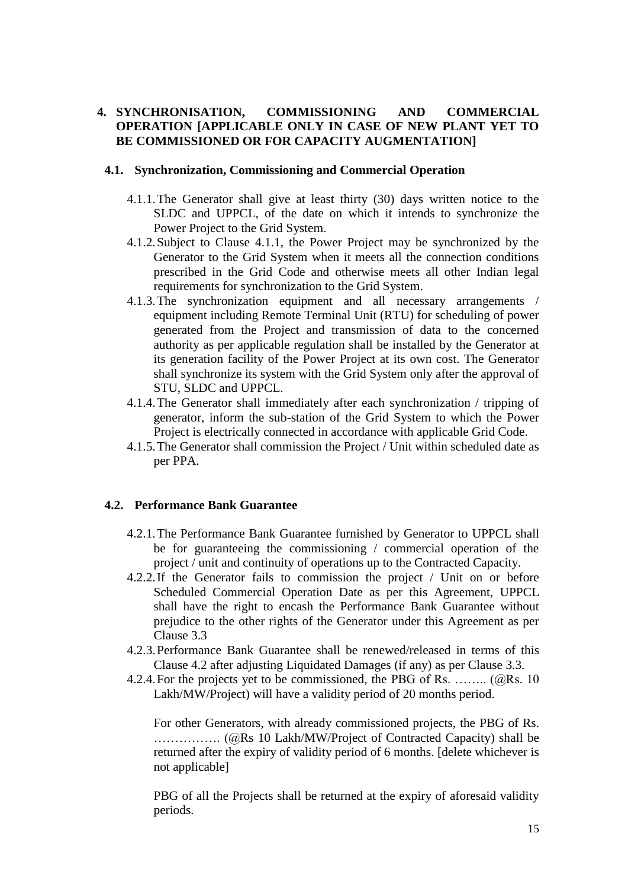### <span id="page-14-0"></span>**4. SYNCHRONISATION, COMMISSIONING AND COMMERCIAL OPERATION [APPLICABLE ONLY IN CASE OF NEW PLANT YET TO BE COMMISSIONED OR FOR CAPACITY AUGMENTATION]**

#### <span id="page-14-1"></span>**4.1. Synchronization, Commissioning and Commercial Operation**

- 4.1.1.The Generator shall give at least thirty (30) days written notice to the SLDC and UPPCL, of the date on which it intends to synchronize the Power Project to the Grid System.
- 4.1.2.Subject to Clause [4.1.1,](#page-14-1) the Power Project may be synchronized by the Generator to the Grid System when it meets all the connection conditions prescribed in the Grid Code and otherwise meets all other Indian legal requirements for synchronization to the Grid System.
- 4.1.3.The synchronization equipment and all necessary arrangements / equipment including Remote Terminal Unit (RTU) for scheduling of power generated from the Project and transmission of data to the concerned authority as per applicable regulation shall be installed by the Generator at its generation facility of the Power Project at its own cost. The Generator shall synchronize its system with the Grid System only after the approval of STU, SLDC and UPPCL.
- 4.1.4.The Generator shall immediately after each synchronization / tripping of generator, inform the sub-station of the Grid System to which the Power Project is electrically connected in accordance with applicable Grid Code.
- 4.1.5.The Generator shall commission the Project / Unit within scheduled date as per PPA.

#### <span id="page-14-2"></span>**4.2. Performance Bank Guarantee**

- 4.2.1.The Performance Bank Guarantee furnished by Generator to UPPCL shall be for guaranteeing the commissioning / commercial operation of the project / unit and continuity of operations up to the Contracted Capacity.
- 4.2.2.If the Generator fails to commission the project / Unit on or before Scheduled Commercial Operation Date as per this Agreement, UPPCL shall have the right to encash the Performance Bank Guarantee without prejudice to the other rights of the Generator under this Agreement as per Clause [3.3](#page-12-1)
- 4.2.3.Performance Bank Guarantee shall be renewed/released in terms of this Clause [4.2](#page-14-2) after adjusting Liquidated Damages (if any) as per Clause [3.3.](#page-12-1)
- 4.2.4. For the projects yet to be commissioned, the PBG of Rs. ........  $(a)$ Rs. 10 Lakh/MW/Project) will have a validity period of 20 months period.

For other Generators, with already commissioned projects, the PBG of Rs. ……………. (@Rs 10 Lakh/MW/Project of Contracted Capacity) shall be returned after the expiry of validity period of 6 months. [delete whichever is not applicable]

PBG of all the Projects shall be returned at the expiry of aforesaid validity periods.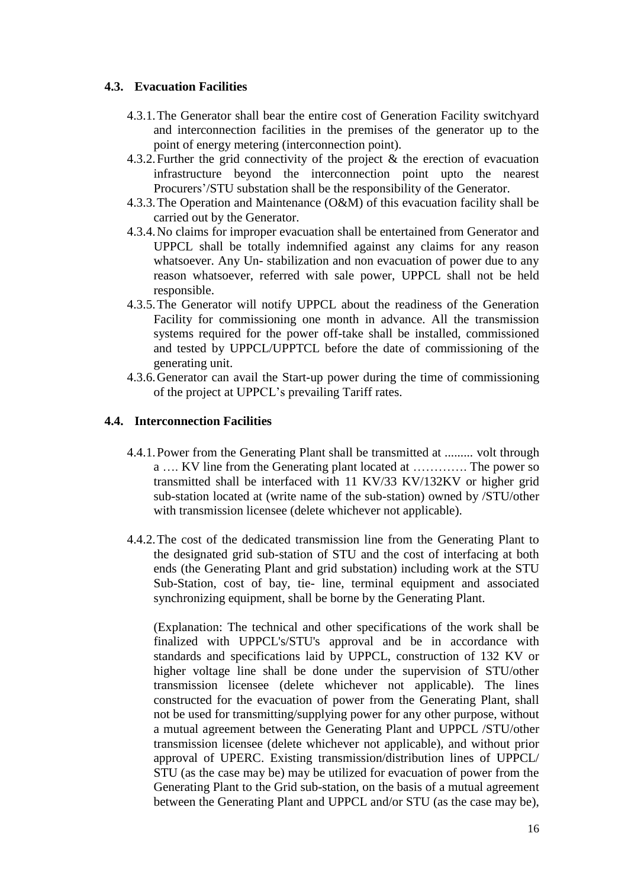## **4.3. Evacuation Facilities**

- 4.3.1.The Generator shall bear the entire cost of Generation Facility switchyard and interconnection facilities in the premises of the generator up to the point of energy metering (interconnection point).
- 4.3.2.Further the grid connectivity of the project & the erection of evacuation infrastructure beyond the interconnection point upto the nearest Procurers'/STU substation shall be the responsibility of the Generator.
- 4.3.3.The Operation and Maintenance (O&M) of this evacuation facility shall be carried out by the Generator.
- 4.3.4.No claims for improper evacuation shall be entertained from Generator and UPPCL shall be totally indemnified against any claims for any reason whatsoever. Any Un- stabilization and non evacuation of power due to any reason whatsoever, referred with sale power, UPPCL shall not be held responsible.
- 4.3.5.The Generator will notify UPPCL about the readiness of the Generation Facility for commissioning one month in advance. All the transmission systems required for the power off-take shall be installed, commissioned and tested by UPPCL/UPPTCL before the date of commissioning of the generating unit.
- 4.3.6.Generator can avail the Start-up power during the time of commissioning of the project at UPPCL's prevailing Tariff rates.

## **4.4. Interconnection Facilities**

- 4.4.1.Power from the Generating Plant shall be transmitted at ......... volt through a …. KV line from the Generating plant located at …………. The power so transmitted shall be interfaced with 11 KV/33 KV/132KV or higher grid sub-station located at (write name of the sub-station) owned by /STU/other with transmission licensee (delete whichever not applicable).
- 4.4.2.The cost of the dedicated transmission line from the Generating Plant to the designated grid sub-station of STU and the cost of interfacing at both ends (the Generating Plant and grid substation) including work at the STU Sub-Station, cost of bay, tie- line, terminal equipment and associated synchronizing equipment, shall be borne by the Generating Plant.

(Explanation: The technical and other specifications of the work shall be finalized with UPPCL's/STU's approval and be in accordance with standards and specifications laid by UPPCL, construction of 132 KV or higher voltage line shall be done under the supervision of STU/other transmission licensee (delete whichever not applicable). The lines constructed for the evacuation of power from the Generating Plant, shall not be used for transmitting/supplying power for any other purpose, without a mutual agreement between the Generating Plant and UPPCL /STU/other transmission licensee (delete whichever not applicable), and without prior approval of UPERC. Existing transmission/distribution lines of UPPCL/ STU (as the case may be) may be utilized for evacuation of power from the Generating Plant to the Grid sub-station, on the basis of a mutual agreement between the Generating Plant and UPPCL and/or STU (as the case may be),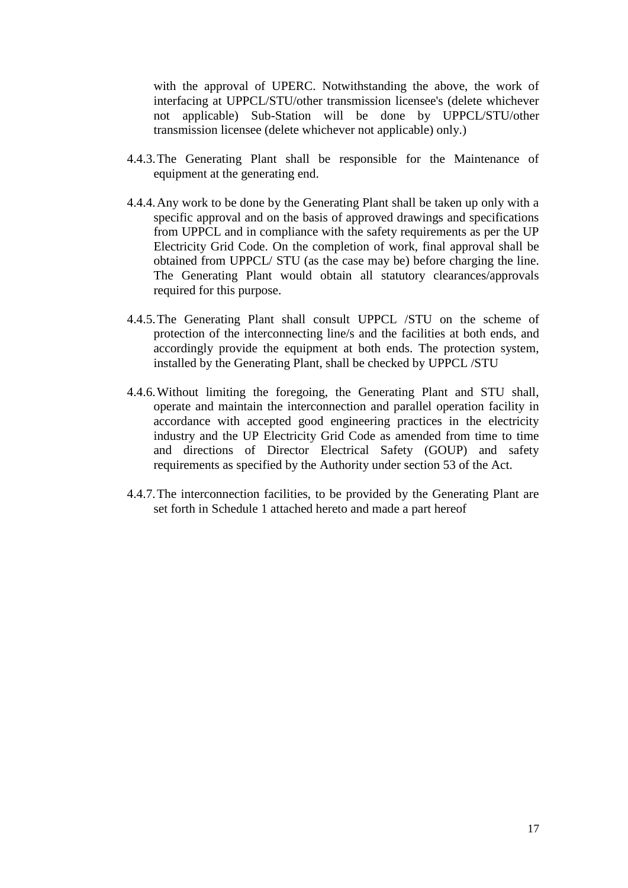with the approval of UPERC. Notwithstanding the above, the work of interfacing at UPPCL/STU/other transmission licensee's (delete whichever not applicable) Sub-Station will be done by UPPCL/STU/other transmission licensee (delete whichever not applicable) only.)

- 4.4.3.The Generating Plant shall be responsible for the Maintenance of equipment at the generating end.
- 4.4.4.Any work to be done by the Generating Plant shall be taken up only with a specific approval and on the basis of approved drawings and specifications from UPPCL and in compliance with the safety requirements as per the UP Electricity Grid Code. On the completion of work, final approval shall be obtained from UPPCL/ STU (as the case may be) before charging the line. The Generating Plant would obtain all statutory clearances/approvals required for this purpose.
- 4.4.5.The Generating Plant shall consult UPPCL /STU on the scheme of protection of the interconnecting line/s and the facilities at both ends, and accordingly provide the equipment at both ends. The protection system, installed by the Generating Plant, shall be checked by UPPCL /STU
- 4.4.6.Without limiting the foregoing, the Generating Plant and STU shall, operate and maintain the interconnection and parallel operation facility in accordance with accepted good engineering practices in the electricity industry and the UP Electricity Grid Code as amended from time to time and directions of Director Electrical Safety (GOUP) and safety requirements as specified by the Authority under section 53 of the Act.
- 4.4.7.The interconnection facilities, to be provided by the Generating Plant are set forth in [Schedule 1](#page-39-0) attached hereto and made a part hereof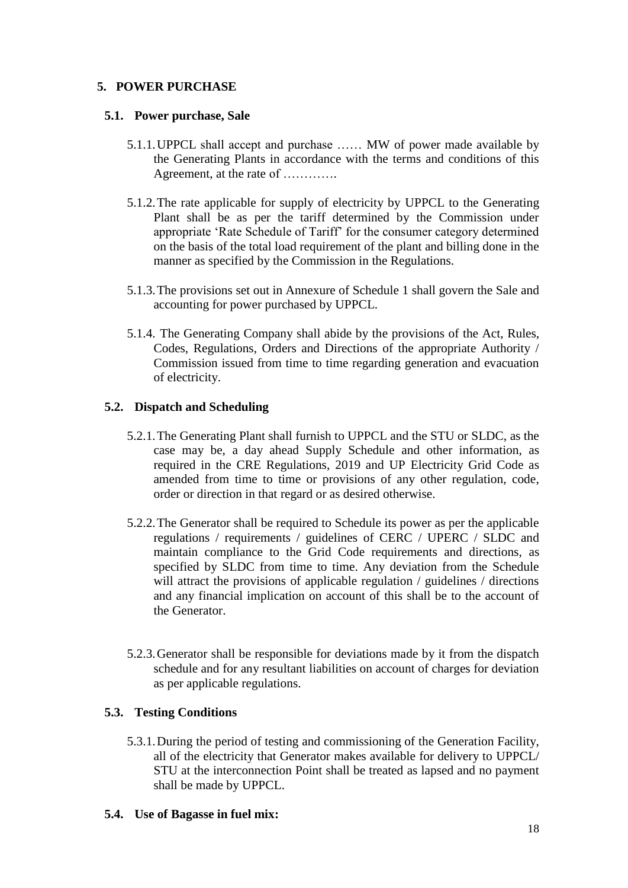## <span id="page-17-0"></span>**5. POWER PURCHASE**

## **5.1. Power purchase, Sale**

- 5.1.1.UPPCL shall accept and purchase …… MW of power made available by the Generating Plants in accordance with the terms and conditions of this Agreement, at the rate of ………….
- 5.1.2.The rate applicable for supply of electricity by UPPCL to the Generating Plant shall be as per the tariff determined by the Commission under appropriate 'Rate Schedule of Tariff' for the consumer category determined on the basis of the total load requirement of the plant and billing done in the manner as specified by the Commission in the Regulations.
- 5.1.3.The provisions set out in Annexure of [Schedule 1](#page-39-0) shall govern the Sale and accounting for power purchased by UPPCL.
- 5.1.4. The Generating Company shall abide by the provisions of the Act, Rules, Codes, Regulations, Orders and Directions of the appropriate Authority / Commission issued from time to time regarding generation and evacuation of electricity.

## **5.2. Dispatch and Scheduling**

- 5.2.1.The Generating Plant shall furnish to UPPCL and the STU or SLDC, as the case may be, a day ahead Supply Schedule and other information, as required in the CRE Regulations, 2019 and UP Electricity Grid Code as amended from time to time or provisions of any other regulation, code, order or direction in that regard or as desired otherwise.
- 5.2.2.The Generator shall be required to Schedule its power as per the applicable regulations / requirements / guidelines of CERC / UPERC / SLDC and maintain compliance to the Grid Code requirements and directions, as specified by SLDC from time to time. Any deviation from the Schedule will attract the provisions of applicable regulation / guidelines / directions and any financial implication on account of this shall be to the account of the Generator.
- 5.2.3.Generator shall be responsible for deviations made by it from the dispatch schedule and for any resultant liabilities on account of charges for deviation as per applicable regulations.

## **5.3. Testing Conditions**

5.3.1.During the period of testing and commissioning of the Generation Facility, all of the electricity that Generator makes available for delivery to UPPCL/ STU at the interconnection Point shall be treated as lapsed and no payment shall be made by UPPCL.

## **5.4. Use of Bagasse in fuel mix:**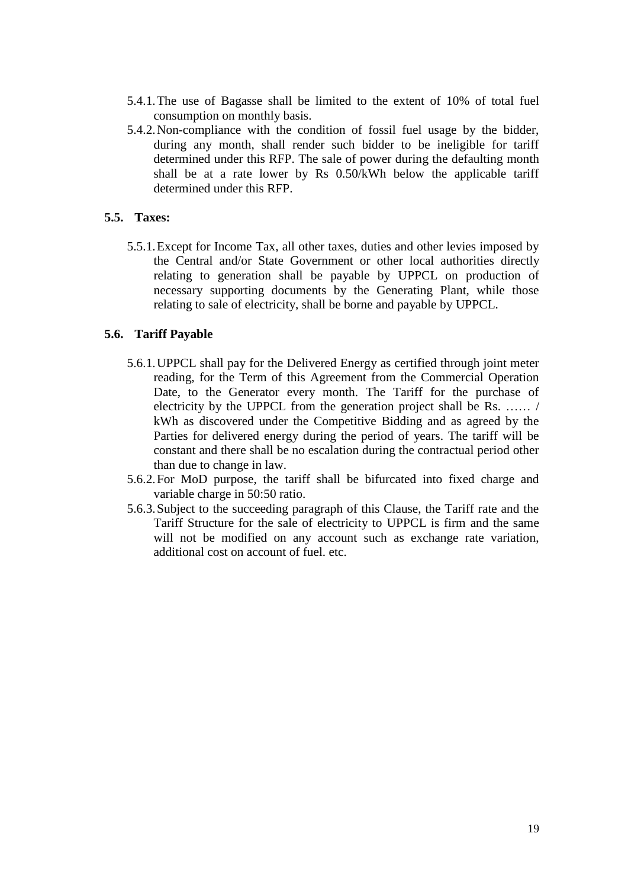- 5.4.1.The use of Bagasse shall be limited to the extent of 10% of total fuel consumption on monthly basis.
- 5.4.2.Non-compliance with the condition of fossil fuel usage by the bidder, during any month, shall render such bidder to be ineligible for tariff determined under this RFP. The sale of power during the defaulting month shall be at a rate lower by Rs 0.50/kWh below the applicable tariff determined under this RFP.

### **5.5. Taxes:**

5.5.1.Except for Income Tax, all other taxes, duties and other levies imposed by the Central and/or State Government or other local authorities directly relating to generation shall be payable by UPPCL on production of necessary supporting documents by the Generating Plant, while those relating to sale of electricity, shall be borne and payable by UPPCL.

#### **5.6. Tariff Payable**

- 5.6.1.UPPCL shall pay for the Delivered Energy as certified through joint meter reading, for the Term of this Agreement from the Commercial Operation Date, to the Generator every month. The Tariff for the purchase of electricity by the UPPCL from the generation project shall be Rs. …… / kWh as discovered under the Competitive Bidding and as agreed by the Parties for delivered energy during the period of years. The tariff will be constant and there shall be no escalation during the contractual period other than due to change in law.
- 5.6.2.For MoD purpose, the tariff shall be bifurcated into fixed charge and variable charge in 50:50 ratio.
- 5.6.3.Subject to the succeeding paragraph of this Clause, the Tariff rate and the Tariff Structure for the sale of electricity to UPPCL is firm and the same will not be modified on any account such as exchange rate variation, additional cost on account of fuel. etc.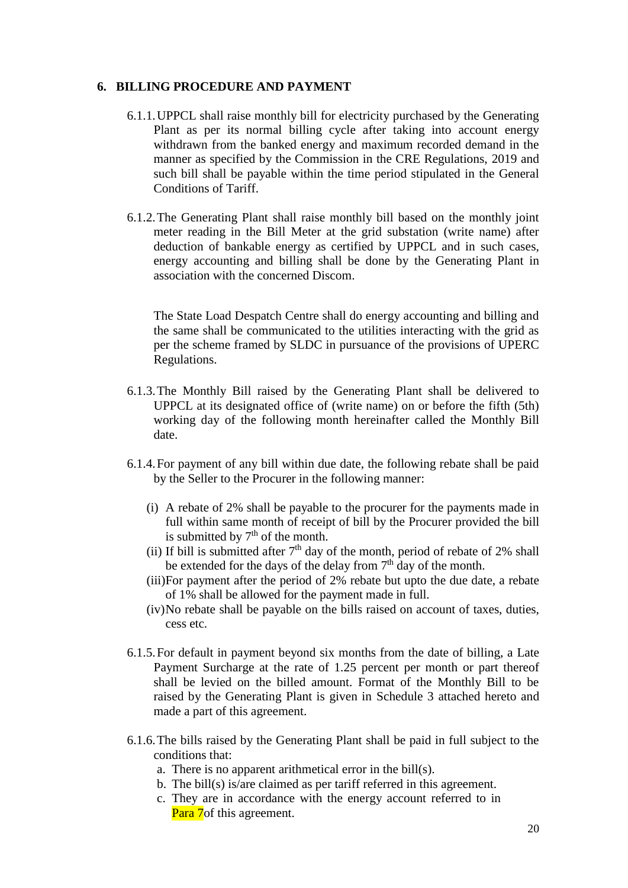### <span id="page-19-0"></span>**6. BILLING PROCEDURE AND PAYMENT**

- 6.1.1.UPPCL shall raise monthly bill for electricity purchased by the Generating Plant as per its normal billing cycle after taking into account energy withdrawn from the banked energy and maximum recorded demand in the manner as specified by the Commission in the CRE Regulations, 2019 and such bill shall be payable within the time period stipulated in the General Conditions of Tariff.
- 6.1.2.The Generating Plant shall raise monthly bill based on the monthly joint meter reading in the Bill Meter at the grid substation (write name) after deduction of bankable energy as certified by UPPCL and in such cases, energy accounting and billing shall be done by the Generating Plant in association with the concerned Discom.

The State Load Despatch Centre shall do energy accounting and billing and the same shall be communicated to the utilities interacting with the grid as per the scheme framed by SLDC in pursuance of the provisions of UPERC Regulations.

- 6.1.3.The Monthly Bill raised by the Generating Plant shall be delivered to UPPCL at its designated office of (write name) on or before the fifth (5th) working day of the following month hereinafter called the Monthly Bill date.
- <span id="page-19-1"></span>6.1.4.For payment of any bill within due date, the following rebate shall be paid by the Seller to the Procurer in the following manner:
	- (i) A rebate of 2% shall be payable to the procurer for the payments made in full within same month of receipt of bill by the Procurer provided the bill is submitted by  $7<sup>th</sup>$  of the month.
	- (ii) If bill is submitted after  $7<sup>th</sup>$  day of the month, period of rebate of 2% shall be extended for the days of the delay from  $7<sup>th</sup>$  day of the month.
	- (iii)For payment after the period of 2% rebate but upto the due date, a rebate of 1% shall be allowed for the payment made in full.
	- (iv)No rebate shall be payable on the bills raised on account of taxes, duties, cess etc.
- 6.1.5.For default in payment beyond six months from the date of billing, a Late Payment Surcharge at the rate of 1.25 percent per month or part thereof shall be levied on the billed amount. Format of the Monthly Bill to be raised by the Generating Plant is given in [Schedule 3](#page-47-0) attached hereto and made a part of this agreement.
- 6.1.6.The bills raised by the Generating Plant shall be paid in full subject to the conditions that:
	- a. There is no apparent arithmetical error in the bill(s).
	- b. The bill(s) is/are claimed as per tariff referred in this agreement.
	- c. They are in accordance with the energy account referred to in Para [7o](#page-21-0)f this agreement.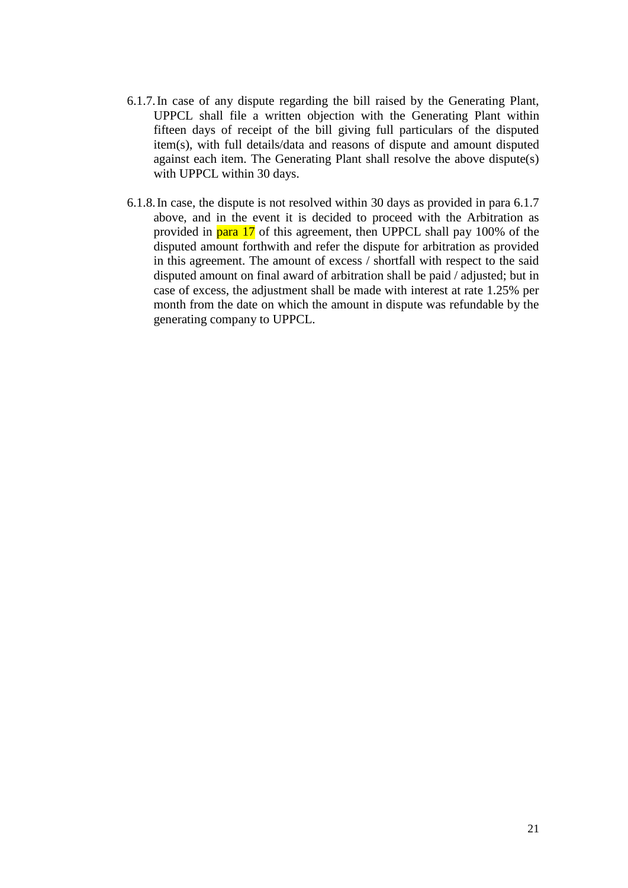- 6.1.7.In case of any dispute regarding the bill raised by the Generating Plant, UPPCL shall file a written objection with the Generating Plant within fifteen days of receipt of the bill giving full particulars of the disputed item(s), with full details/data and reasons of dispute and amount disputed against each item. The Generating Plant shall resolve the above dispute(s) with UPPCL within 30 days.
- 6.1.8.In case, the dispute is not resolved within 30 days as provided in para 6.1.7 above, and in the event it is decided to proceed with the Arbitration as provided in para [17](#page-34-0) of this agreement, then UPPCL shall pay 100% of the disputed amount forthwith and refer the dispute for arbitration as provided in this agreement. The amount of excess / shortfall with respect to the said disputed amount on final award of arbitration shall be paid / adjusted; but in case of excess, the adjustment shall be made with interest at rate 1.25% per month from the date on which the amount in dispute was refundable by the generating company to UPPCL.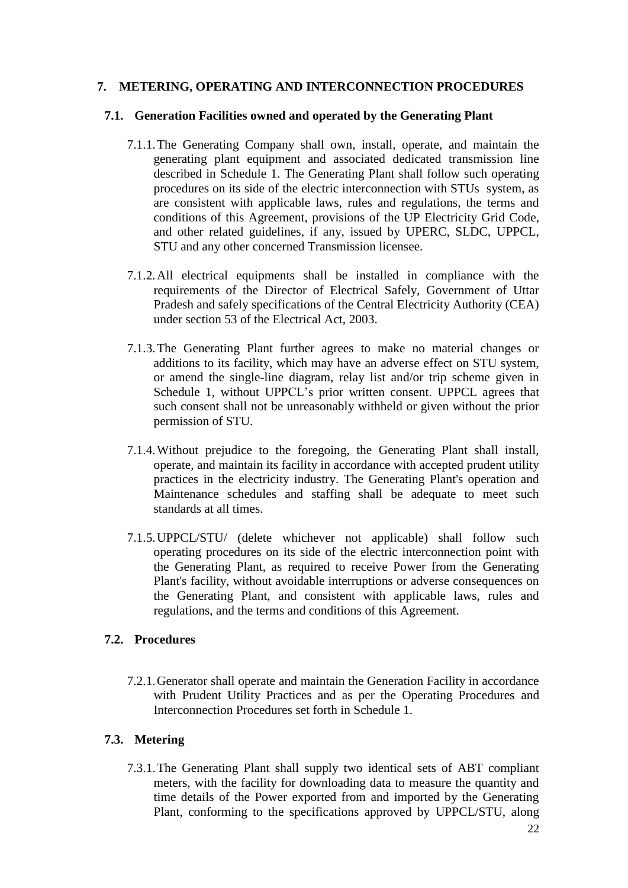## <span id="page-21-0"></span>**7. METERING, OPERATING AND INTERCONNECTION PROCEDURES**

#### **7.1. Generation Facilities owned and operated by the Generating Plant**

- 7.1.1.The Generating Company shall own, install, operate, and maintain the generating plant equipment and associated dedicated transmission line described in [Schedule 1.](#page-39-0) The Generating Plant shall follow such operating procedures on its side of the electric interconnection with STUs system, as are consistent with applicable laws, rules and regulations, the terms and conditions of this Agreement, provisions of the UP Electricity Grid Code, and other related guidelines, if any, issued by UPERC, SLDC, UPPCL, STU and any other concerned Transmission licensee.
- 7.1.2.All electrical equipments shall be installed in compliance with the requirements of the Director of Electrical Safely, Government of Uttar Pradesh and safely specifications of the Central Electricity Authority (CEA) under section 53 of the Electrical Act, 2003.
- 7.1.3.The Generating Plant further agrees to make no material changes or additions to its facility, which may have an adverse effect on STU system, or amend the single-line diagram, relay list and/or trip scheme given in [Schedule 1,](#page-39-0) without UPPCL's prior written consent. UPPCL agrees that such consent shall not be unreasonably withheld or given without the prior permission of STU.
- 7.1.4.Without prejudice to the foregoing, the Generating Plant shall install, operate, and maintain its facility in accordance with accepted prudent utility practices in the electricity industry. The Generating Plant's operation and Maintenance schedules and staffing shall be adequate to meet such standards at all times.
- 7.1.5.UPPCL/STU/ (delete whichever not applicable) shall follow such operating procedures on its side of the electric interconnection point with the Generating Plant, as required to receive Power from the Generating Plant's facility, without avoidable interruptions or adverse consequences on the Generating Plant, and consistent with applicable laws, rules and regulations, and the terms and conditions of this Agreement.

#### **7.2. Procedures**

7.2.1.Generator shall operate and maintain the Generation Facility in accordance with Prudent Utility Practices and as per the Operating Procedures and Interconnection Procedures set forth in Schedule 1.

## <span id="page-21-1"></span>**7.3. Metering**

7.3.1.The Generating Plant shall supply two identical sets of ABT compliant meters, with the facility for downloading data to measure the quantity and time details of the Power exported from and imported by the Generating Plant, conforming to the specifications approved by UPPCL/STU, along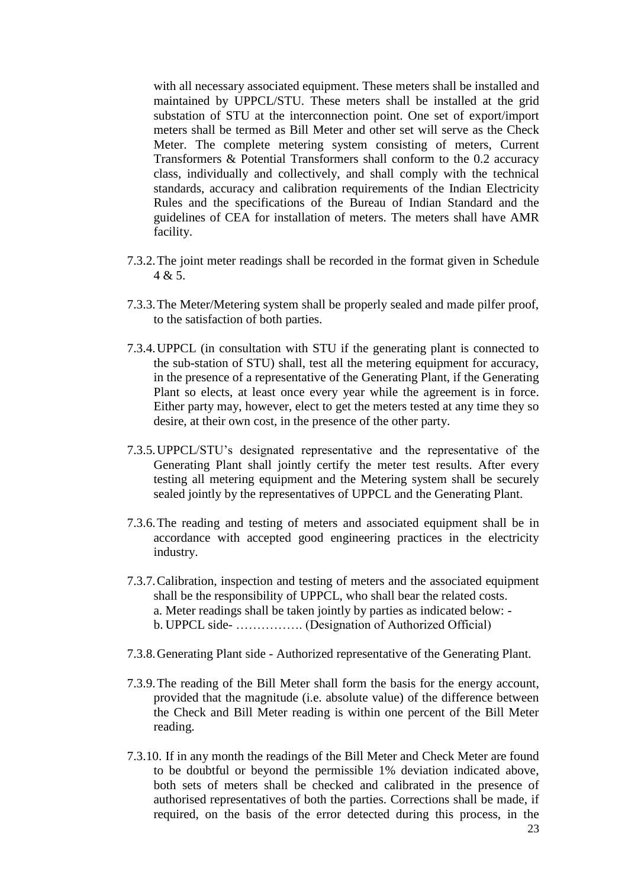with all necessary associated equipment. These meters shall be installed and maintained by UPPCL/STU. These meters shall be installed at the grid substation of STU at the interconnection point. One set of export/import meters shall be termed as Bill Meter and other set will serve as the Check Meter. The complete metering system consisting of meters, Current Transformers & Potential Transformers shall conform to the 0.2 accuracy class, individually and collectively, and shall comply with the technical standards, accuracy and calibration requirements of the Indian Electricity Rules and the specifications of the Bureau of Indian Standard and the guidelines of CEA for installation of meters. The meters shall have AMR facility.

- 7.3.2.The joint meter readings shall be recorded in the format given in Schedule  $4 & 5$  $4 & 5$ .
- 7.3.3.The Meter/Metering system shall be properly sealed and made pilfer proof, to the satisfaction of both parties.
- 7.3.4.UPPCL (in consultation with STU if the generating plant is connected to the sub-station of STU) shall, test all the metering equipment for accuracy, in the presence of a representative of the Generating Plant, if the Generating Plant so elects, at least once every year while the agreement is in force. Either party may, however, elect to get the meters tested at any time they so desire, at their own cost, in the presence of the other party.
- 7.3.5.UPPCL/STU's designated representative and the representative of the Generating Plant shall jointly certify the meter test results. After every testing all metering equipment and the Metering system shall be securely sealed jointly by the representatives of UPPCL and the Generating Plant.
- 7.3.6.The reading and testing of meters and associated equipment shall be in accordance with accepted good engineering practices in the electricity industry.
- 7.3.7.Calibration, inspection and testing of meters and the associated equipment shall be the responsibility of UPPCL, who shall bear the related costs. a. Meter readings shall be taken jointly by parties as indicated below: b. UPPCL side- ……………. (Designation of Authorized Official)
- 7.3.8.Generating Plant side Authorized representative of the Generating Plant.
- 7.3.9.The reading of the Bill Meter shall form the basis for the energy account, provided that the magnitude (i.e. absolute value) of the difference between the Check and Bill Meter reading is within one percent of the Bill Meter reading.
- 7.3.10. If in any month the readings of the Bill Meter and Check Meter are found to be doubtful or beyond the permissible 1% deviation indicated above, both sets of meters shall be checked and calibrated in the presence of authorised representatives of both the parties. Corrections shall be made, if required, on the basis of the error detected during this process, in the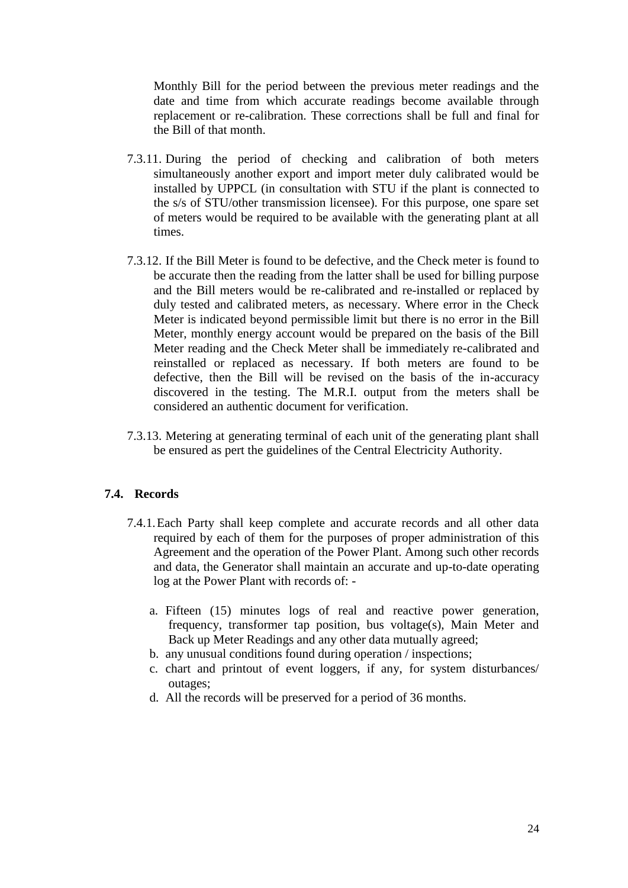Monthly Bill for the period between the previous meter readings and the date and time from which accurate readings become available through replacement or re-calibration. These corrections shall be full and final for the Bill of that month.

- 7.3.11. During the period of checking and calibration of both meters simultaneously another export and import meter duly calibrated would be installed by UPPCL (in consultation with STU if the plant is connected to the s/s of STU/other transmission licensee). For this purpose, one spare set of meters would be required to be available with the generating plant at all times.
- 7.3.12. If the Bill Meter is found to be defective, and the Check meter is found to be accurate then the reading from the latter shall be used for billing purpose and the Bill meters would be re-calibrated and re-installed or replaced by duly tested and calibrated meters, as necessary. Where error in the Check Meter is indicated beyond permissible limit but there is no error in the Bill Meter, monthly energy account would be prepared on the basis of the Bill Meter reading and the Check Meter shall be immediately re-calibrated and reinstalled or replaced as necessary. If both meters are found to be defective, then the Bill will be revised on the basis of the in-accuracy discovered in the testing. The M.R.I. output from the meters shall be considered an authentic document for verification.
- 7.3.13. Metering at generating terminal of each unit of the generating plant shall be ensured as pert the guidelines of the Central Electricity Authority.

### **7.4. Records**

- 7.4.1.Each Party shall keep complete and accurate records and all other data required by each of them for the purposes of proper administration of this Agreement and the operation of the Power Plant. Among such other records and data, the Generator shall maintain an accurate and up-to-date operating log at the Power Plant with records of:
	- a. Fifteen (15) minutes logs of real and reactive power generation, frequency, transformer tap position, bus voltage(s), Main Meter and Back up Meter Readings and any other data mutually agreed;
	- b. any unusual conditions found during operation / inspections;
	- c. chart and printout of event loggers, if any, for system disturbances/ outages;
	- d. All the records will be preserved for a period of 36 months.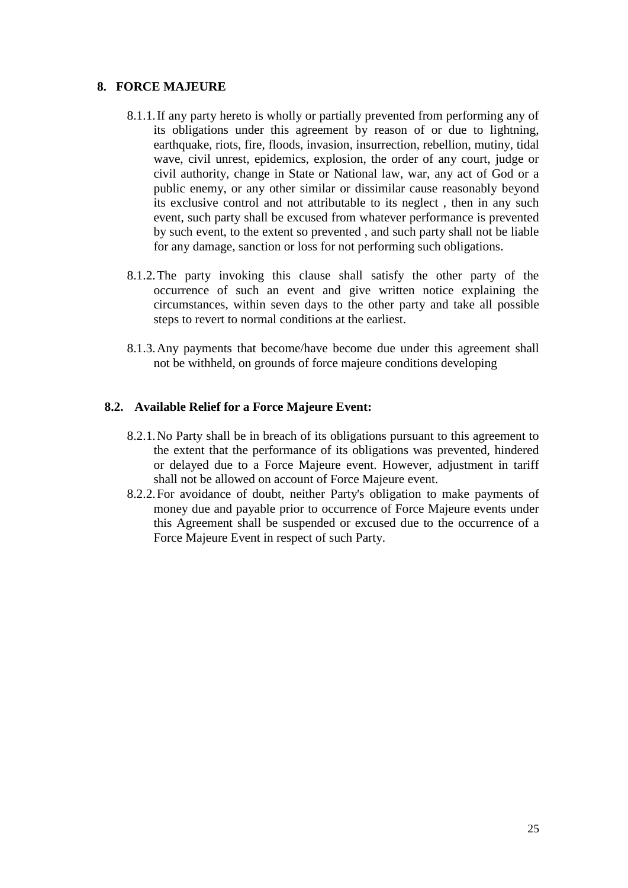## <span id="page-24-0"></span>**8. FORCE MAJEURE**

- 8.1.1.If any party hereto is wholly or partially prevented from performing any of its obligations under this agreement by reason of or due to lightning, earthquake, riots, fire, floods, invasion, insurrection, rebellion, mutiny, tidal wave, civil unrest, epidemics, explosion, the order of any court, judge or civil authority, change in State or National law, war, any act of God or a public enemy, or any other similar or dissimilar cause reasonably beyond its exclusive control and not attributable to its neglect , then in any such event, such party shall be excused from whatever performance is prevented by such event, to the extent so prevented , and such party shall not be liable for any damage, sanction or loss for not performing such obligations.
- 8.1.2.The party invoking this clause shall satisfy the other party of the occurrence of such an event and give written notice explaining the circumstances, within seven days to the other party and take all possible steps to revert to normal conditions at the earliest.
- 8.1.3.Any payments that become/have become due under this agreement shall not be withheld, on grounds of force majeure conditions developing

### **8.2. Available Relief for a Force Majeure Event:**

- 8.2.1.No Party shall be in breach of its obligations pursuant to this agreement to the extent that the performance of its obligations was prevented, hindered or delayed due to a Force Majeure event. However, adjustment in tariff shall not be allowed on account of Force Majeure event.
- 8.2.2.For avoidance of doubt, neither Party's obligation to make payments of money due and payable prior to occurrence of Force Majeure events under this Agreement shall be suspended or excused due to the occurrence of a Force Majeure Event in respect of such Party.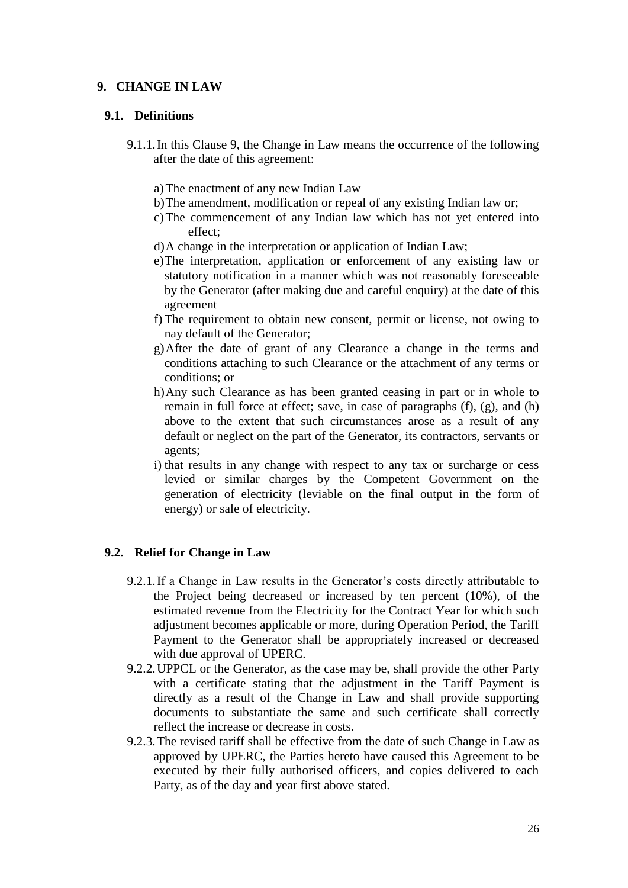## <span id="page-25-0"></span>**9. CHANGE IN LAW**

### **9.1. Definitions**

- <span id="page-25-1"></span>9.1.1.In this Clause [9,](#page-25-0) the Change in Law means the occurrence of the following after the date of this agreement:
	- a)The enactment of any new Indian Law
	- b)The amendment, modification or repeal of any existing Indian law or;
	- c)The commencement of any Indian law which has not yet entered into effect;
	- d)A change in the interpretation or application of Indian Law;
	- e)The interpretation, application or enforcement of any existing law or statutory notification in a manner which was not reasonably foreseeable by the Generator (after making due and careful enquiry) at the date of this agreement
	- f) The requirement to obtain new consent, permit or license, not owing to nay default of the Generator;
	- g)After the date of grant of any Clearance a change in the terms and conditions attaching to such Clearance or the attachment of any terms or conditions; or
	- h)Any such Clearance as has been granted ceasing in part or in whole to remain in full force at effect; save, in case of paragraphs [\(f\),](#page-25-1) [\(g\),](#page-25-2) and [\(h\)](#page-25-3) above to the extent that such circumstances arose as a result of any default or neglect on the part of the Generator, its contractors, servants or agents;
	- i) that results in any change with respect to any tax or surcharge or cess levied or similar charges by the Competent Government on the generation of electricity (leviable on the final output in the form of energy) or sale of electricity.

## <span id="page-25-3"></span><span id="page-25-2"></span>**9.2. Relief for Change in Law**

- 9.2.1.If a Change in Law results in the Generator's costs directly attributable to the Project being decreased or increased by ten percent (10%), of the estimated revenue from the Electricity for the Contract Year for which such adjustment becomes applicable or more, during Operation Period, the Tariff Payment to the Generator shall be appropriately increased or decreased with due approval of UPERC.
- 9.2.2.UPPCL or the Generator, as the case may be, shall provide the other Party with a certificate stating that the adjustment in the Tariff Payment is directly as a result of the Change in Law and shall provide supporting documents to substantiate the same and such certificate shall correctly reflect the increase or decrease in costs.
- 9.2.3.The revised tariff shall be effective from the date of such Change in Law as approved by UPERC, the Parties hereto have caused this Agreement to be executed by their fully authorised officers, and copies delivered to each Party, as of the day and year first above stated.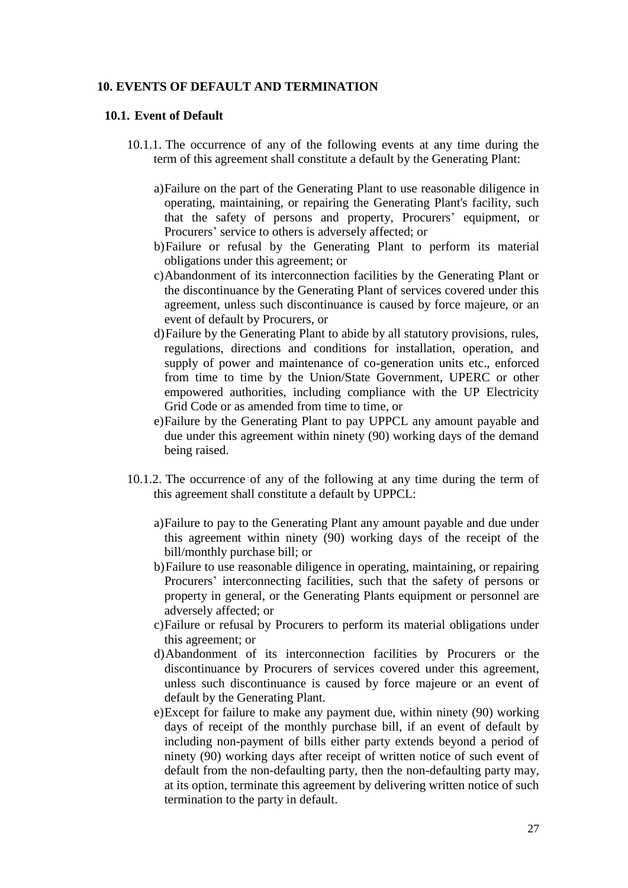### <span id="page-26-0"></span>**10. EVENTS OF DEFAULT AND TERMINATION**

#### **10.1. Event of Default**

- 10.1.1. The occurrence of any of the following events at any time during the term of this agreement shall constitute a default by the Generating Plant:
	- a)Failure on the part of the Generating Plant to use reasonable diligence in operating, maintaining, or repairing the Generating Plant's facility, such that the safety of persons and property, Procurers' equipment, or Procurers' service to others is adversely affected; or
	- b)Failure or refusal by the Generating Plant to perform its material obligations under this agreement; or
	- c)Abandonment of its interconnection facilities by the Generating Plant or the discontinuance by the Generating Plant of services covered under this agreement, unless such discontinuance is caused by force majeure, or an event of default by Procurers, or
	- d)Failure by the Generating Plant to abide by all statutory provisions, rules, regulations, directions and conditions for installation, operation, and supply of power and maintenance of co-generation units etc., enforced from time to time by the Union/State Government, UPERC or other empowered authorities, including compliance with the UP Electricity Grid Code or as amended from time to time, or
	- e)Failure by the Generating Plant to pay UPPCL any amount payable and due under this agreement within ninety (90) working days of the demand being raised.
- 10.1.2. The occurrence of any of the following at any time during the term of this agreement shall constitute a default by UPPCL:
	- a)Failure to pay to the Generating Plant any amount payable and due under this agreement within ninety (90) working days of the receipt of the bill/monthly purchase bill; or
	- b)Failure to use reasonable diligence in operating, maintaining, or repairing Procurers' interconnecting facilities, such that the safety of persons or property in general, or the Generating Plants equipment or personnel are adversely affected; or
	- c)Failure or refusal by Procurers to perform its material obligations under this agreement; or
	- d)Abandonment of its interconnection facilities by Procurers or the discontinuance by Procurers of services covered under this agreement, unless such discontinuance is caused by force majeure or an event of default by the Generating Plant.
	- e)Except for failure to make any payment due, within ninety (90) working days of receipt of the monthly purchase bill, if an event of default by including non-payment of bills either party extends beyond a period of ninety (90) working days after receipt of written notice of such event of default from the non-defaulting party, then the non-defaulting party may, at its option, terminate this agreement by delivering written notice of such termination to the party in default.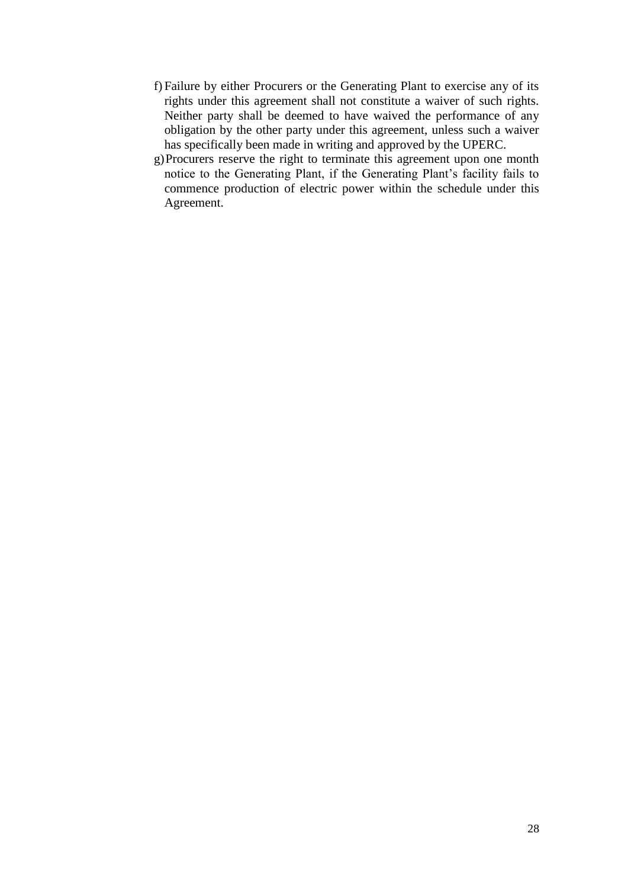- f) Failure by either Procurers or the Generating Plant to exercise any of its rights under this agreement shall not constitute a waiver of such rights. Neither party shall be deemed to have waived the performance of any obligation by the other party under this agreement, unless such a waiver has specifically been made in writing and approved by the UPERC.
- g)Procurers reserve the right to terminate this agreement upon one month notice to the Generating Plant, if the Generating Plant's facility fails to commence production of electric power within the schedule under this Agreement.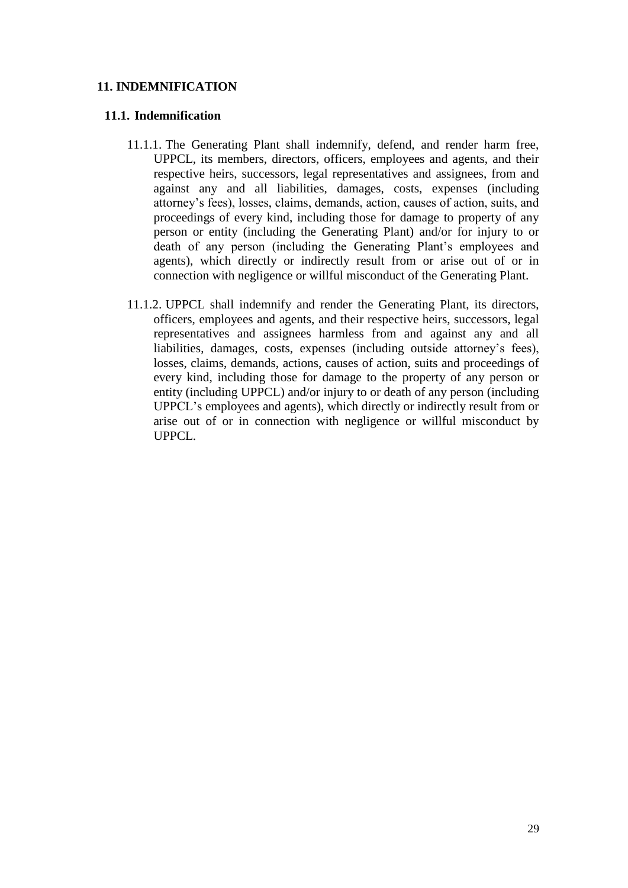## <span id="page-28-0"></span>**11. INDEMNIFICATION**

#### **11.1. Indemnification**

- 11.1.1. The Generating Plant shall indemnify, defend, and render harm free, UPPCL, its members, directors, officers, employees and agents, and their respective heirs, successors, legal representatives and assignees, from and against any and all liabilities, damages, costs, expenses (including attorney's fees), losses, claims, demands, action, causes of action, suits, and proceedings of every kind, including those for damage to property of any person or entity (including the Generating Plant) and/or for injury to or death of any person (including the Generating Plant's employees and agents), which directly or indirectly result from or arise out of or in connection with negligence or willful misconduct of the Generating Plant.
- 11.1.2. UPPCL shall indemnify and render the Generating Plant, its directors, officers, employees and agents, and their respective heirs, successors, legal representatives and assignees harmless from and against any and all liabilities, damages, costs, expenses (including outside attorney's fees), losses, claims, demands, actions, causes of action, suits and proceedings of every kind, including those for damage to the property of any person or entity (including UPPCL) and/or injury to or death of any person (including UPPCL's employees and agents), which directly or indirectly result from or arise out of or in connection with negligence or willful misconduct by UPPCL.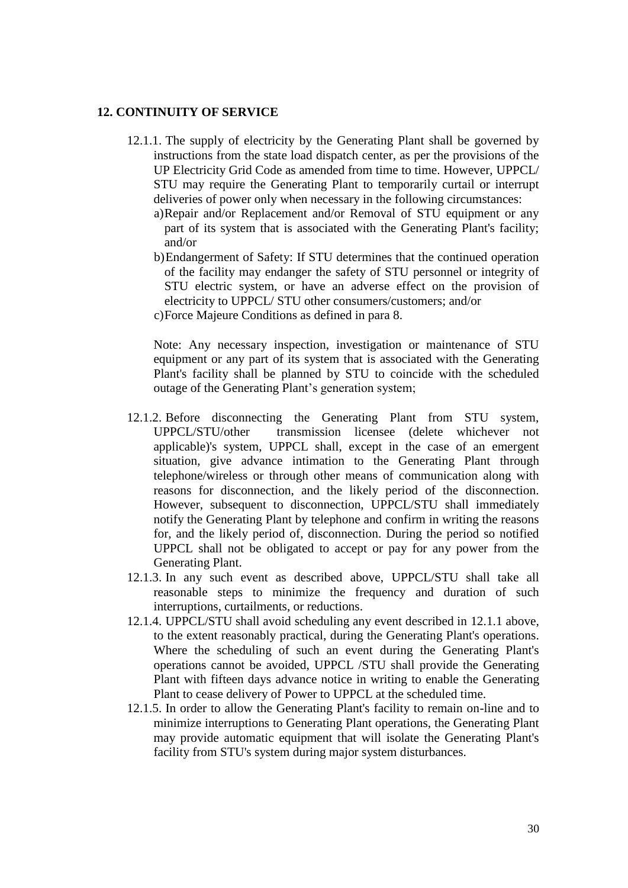#### <span id="page-29-1"></span><span id="page-29-0"></span>**12. CONTINUITY OF SERVICE**

- 12.1.1. The supply of electricity by the Generating Plant shall be governed by instructions from the state load dispatch center, as per the provisions of the UP Electricity Grid Code as amended from time to time. However, UPPCL/ STU may require the Generating Plant to temporarily curtail or interrupt deliveries of power only when necessary in the following circumstances:
	- a)Repair and/or Replacement and/or Removal of STU equipment or any part of its system that is associated with the Generating Plant's facility; and/or
	- b)Endangerment of Safety: If STU determines that the continued operation of the facility may endanger the safety of STU personnel or integrity of STU electric system, or have an adverse effect on the provision of electricity to UPPCL/ STU other consumers/customers; and/or
	- c)Force Majeure Conditions as defined in para [8.](#page-24-0)

Note: Any necessary inspection, investigation or maintenance of STU equipment or any part of its system that is associated with the Generating Plant's facility shall be planned by STU to coincide with the scheduled outage of the Generating Plant's generation system;

- 12.1.2. Before disconnecting the Generating Plant from STU system, UPPCL/STU/other transmission licensee (delete whichever not applicable)'s system, UPPCL shall, except in the case of an emergent situation, give advance intimation to the Generating Plant through telephone/wireless or through other means of communication along with reasons for disconnection, and the likely period of the disconnection. However, subsequent to disconnection, UPPCL/STU shall immediately notify the Generating Plant by telephone and confirm in writing the reasons for, and the likely period of, disconnection. During the period so notified UPPCL shall not be obligated to accept or pay for any power from the Generating Plant.
- 12.1.3. In any such event as described above, UPPCL/STU shall take all reasonable steps to minimize the frequency and duration of such interruptions, curtailments, or reductions.
- 12.1.4. UPPCL/STU shall avoid scheduling any event described in [12.1.1](#page-29-1) above, to the extent reasonably practical, during the Generating Plant's operations. Where the scheduling of such an event during the Generating Plant's operations cannot be avoided, UPPCL /STU shall provide the Generating Plant with fifteen days advance notice in writing to enable the Generating Plant to cease delivery of Power to UPPCL at the scheduled time.
- 12.1.5. In order to allow the Generating Plant's facility to remain on-line and to minimize interruptions to Generating Plant operations, the Generating Plant may provide automatic equipment that will isolate the Generating Plant's facility from STU's system during major system disturbances.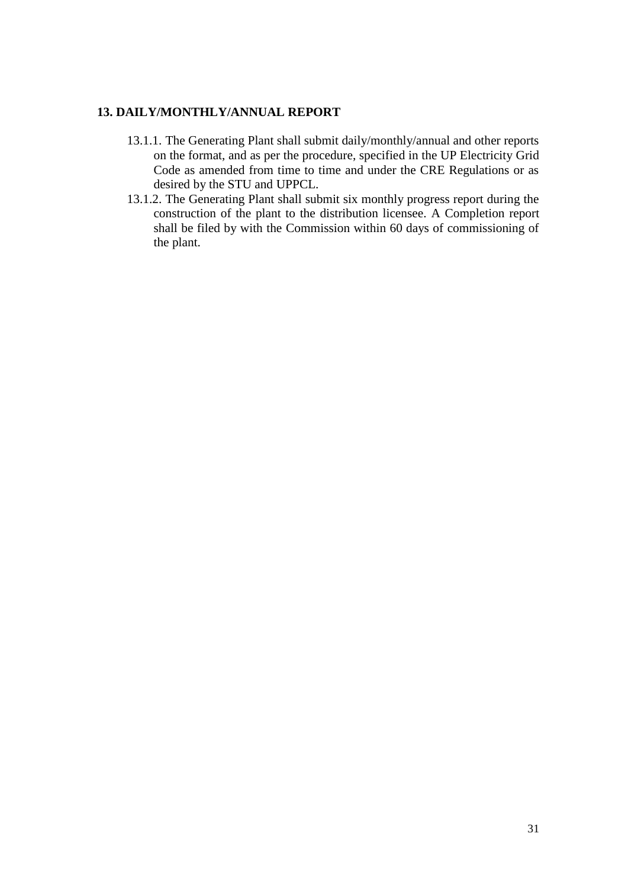## <span id="page-30-0"></span>**13. DAILY/MONTHLY/ANNUAL REPORT**

- 13.1.1. The Generating Plant shall submit daily/monthly/annual and other reports on the format, and as per the procedure, specified in the UP Electricity Grid Code as amended from time to time and under the CRE Regulations or as desired by the STU and UPPCL.
- 13.1.2. The Generating Plant shall submit six monthly progress report during the construction of the plant to the distribution licensee. A Completion report shall be filed by with the Commission within 60 days of commissioning of the plant.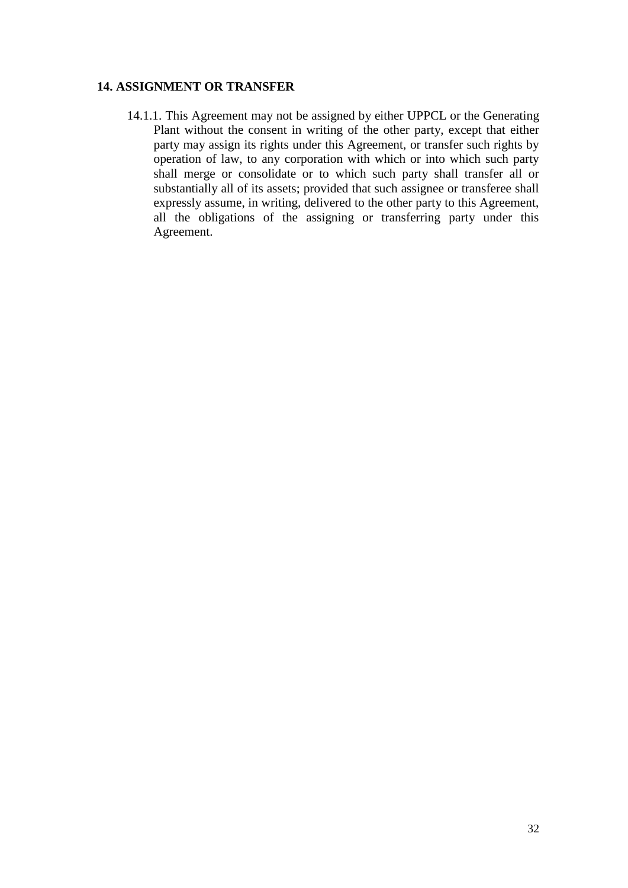## <span id="page-31-0"></span>**14. ASSIGNMENT OR TRANSFER**

14.1.1. This Agreement may not be assigned by either UPPCL or the Generating Plant without the consent in writing of the other party, except that either party may assign its rights under this Agreement, or transfer such rights by operation of law, to any corporation with which or into which such party shall merge or consolidate or to which such party shall transfer all or substantially all of its assets; provided that such assignee or transferee shall expressly assume, in writing, delivered to the other party to this Agreement, all the obligations of the assigning or transferring party under this Agreement.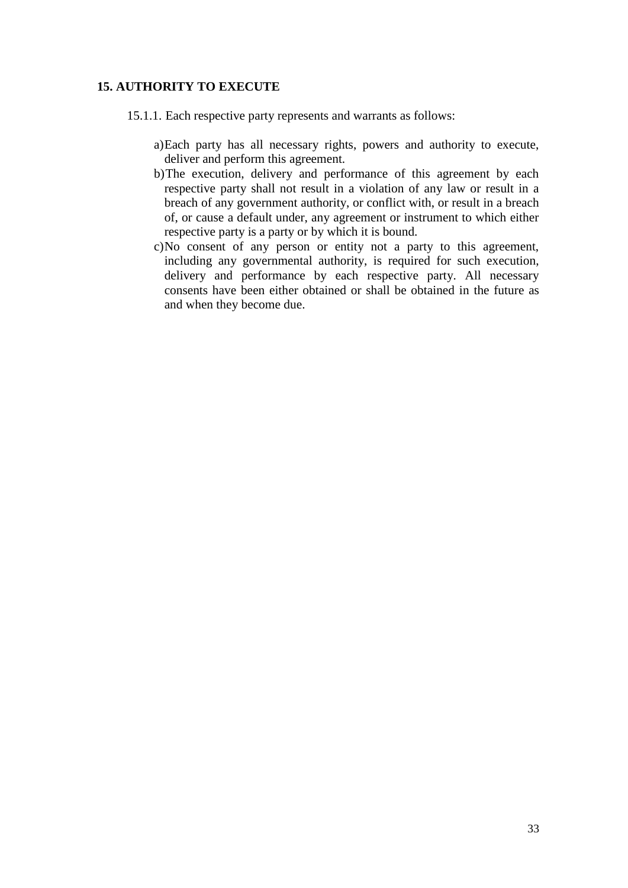## <span id="page-32-0"></span>**15. AUTHORITY TO EXECUTE**

- 15.1.1. Each respective party represents and warrants as follows:
	- a)Each party has all necessary rights, powers and authority to execute, deliver and perform this agreement.
	- b)The execution, delivery and performance of this agreement by each respective party shall not result in a violation of any law or result in a breach of any government authority, or conflict with, or result in a breach of, or cause a default under, any agreement or instrument to which either respective party is a party or by which it is bound.
	- c)No consent of any person or entity not a party to this agreement, including any governmental authority, is required for such execution, delivery and performance by each respective party. All necessary consents have been either obtained or shall be obtained in the future as and when they become due.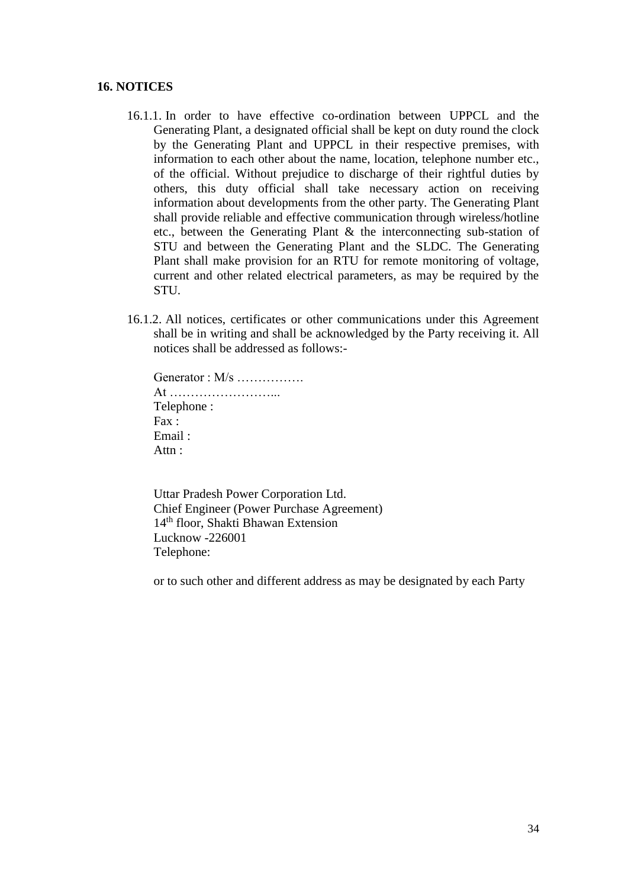#### <span id="page-33-0"></span>**16. NOTICES**

- 16.1.1. In order to have effective co-ordination between UPPCL and the Generating Plant, a designated official shall be kept on duty round the clock by the Generating Plant and UPPCL in their respective premises, with information to each other about the name, location, telephone number etc., of the official. Without prejudice to discharge of their rightful duties by others, this duty official shall take necessary action on receiving information about developments from the other party. The Generating Plant shall provide reliable and effective communication through wireless/hotline etc., between the Generating Plant & the interconnecting sub-station of STU and between the Generating Plant and the SLDC. The Generating Plant shall make provision for an RTU for remote monitoring of voltage, current and other related electrical parameters, as may be required by the STU.
- 16.1.2. All notices, certificates or other communications under this Agreement shall be in writing and shall be acknowledged by the Party receiving it. All notices shall be addressed as follows:-
	- Generator : M/s ……………… At ……………………... Telephone : Fax : Email : Attn:

Uttar Pradesh Power Corporation Ltd. Chief Engineer (Power Purchase Agreement) 14th floor, Shakti Bhawan Extension Lucknow -226001 Telephone:

or to such other and different address as may be designated by each Party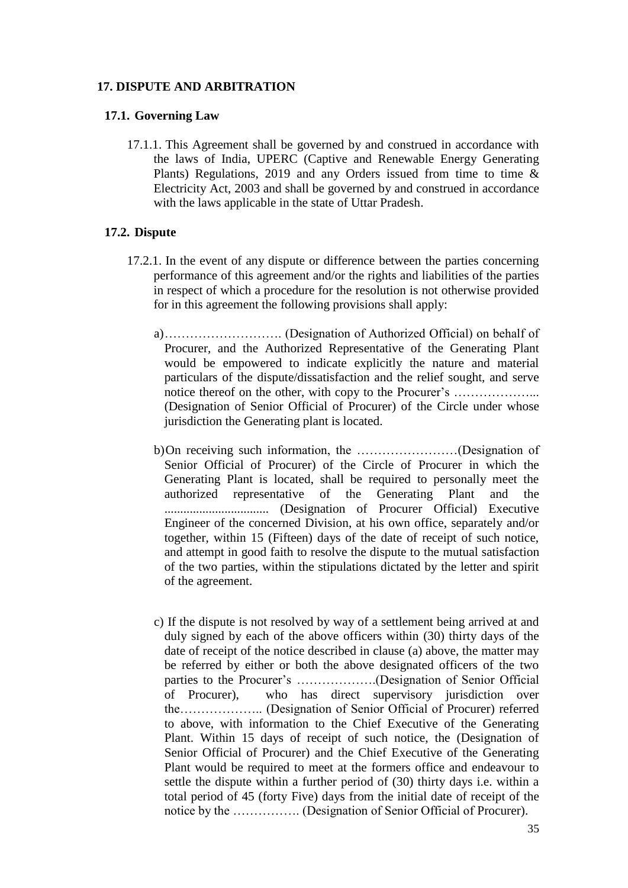#### <span id="page-34-0"></span>**17. DISPUTE AND ARBITRATION**

#### **17.1. Governing Law**

17.1.1. This Agreement shall be governed by and construed in accordance with the laws of India, UPERC (Captive and Renewable Energy Generating Plants) Regulations, 2019 and any Orders issued from time to time & Electricity Act, 2003 and shall be governed by and construed in accordance with the laws applicable in the state of Uttar Pradesh.

#### **17.2. Dispute**

- 17.2.1. In the event of any dispute or difference between the parties concerning performance of this agreement and/or the rights and liabilities of the parties in respect of which a procedure for the resolution is not otherwise provided for in this agreement the following provisions shall apply:
	- a)………………………. (Designation of Authorized Official) on behalf of Procurer, and the Authorized Representative of the Generating Plant would be empowered to indicate explicitly the nature and material particulars of the dispute/dissatisfaction and the relief sought, and serve notice thereof on the other, with copy to the Procurer's ………………... (Designation of Senior Official of Procurer) of the Circle under whose jurisdiction the Generating plant is located.
	- b)On receiving such information, the ……………………(Designation of Senior Official of Procurer) of the Circle of Procurer in which the Generating Plant is located, shall be required to personally meet the authorized representative of the Generating Plant and the ................................. (Designation of Procurer Official) Executive Engineer of the concerned Division, at his own office, separately and/or together, within 15 (Fifteen) days of the date of receipt of such notice, and attempt in good faith to resolve the dispute to the mutual satisfaction of the two parties, within the stipulations dictated by the letter and spirit of the agreement.
	- c) If the dispute is not resolved by way of a settlement being arrived at and duly signed by each of the above officers within (30) thirty days of the date of receipt of the notice described in clause (a) above, the matter may be referred by either or both the above designated officers of the two parties to the Procurer's ……………….(Designation of Senior Official of Procurer), who has direct supervisory jurisdiction over the……………….. (Designation of Senior Official of Procurer) referred to above, with information to the Chief Executive of the Generating Plant. Within 15 days of receipt of such notice, the (Designation of Senior Official of Procurer) and the Chief Executive of the Generating Plant would be required to meet at the formers office and endeavour to settle the dispute within a further period of (30) thirty days i.e. within a total period of 45 (forty Five) days from the initial date of receipt of the notice by the ……………. (Designation of Senior Official of Procurer).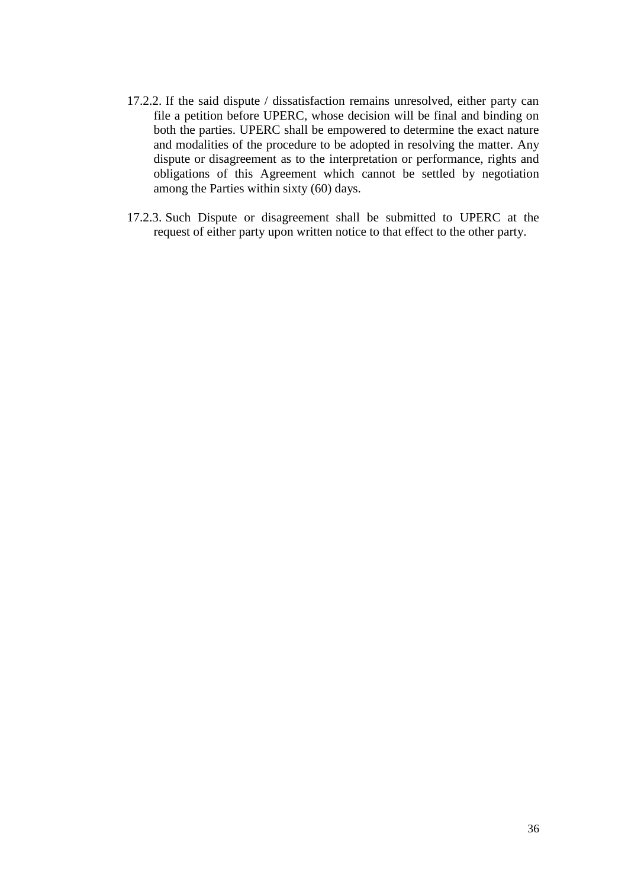- 17.2.2. If the said dispute / dissatisfaction remains unresolved, either party can file a petition before UPERC, whose decision will be final and binding on both the parties. UPERC shall be empowered to determine the exact nature and modalities of the procedure to be adopted in resolving the matter. Any dispute or disagreement as to the interpretation or performance, rights and obligations of this Agreement which cannot be settled by negotiation among the Parties within sixty (60) days.
- 17.2.3. Such Dispute or disagreement shall be submitted to UPERC at the request of either party upon written notice to that effect to the other party.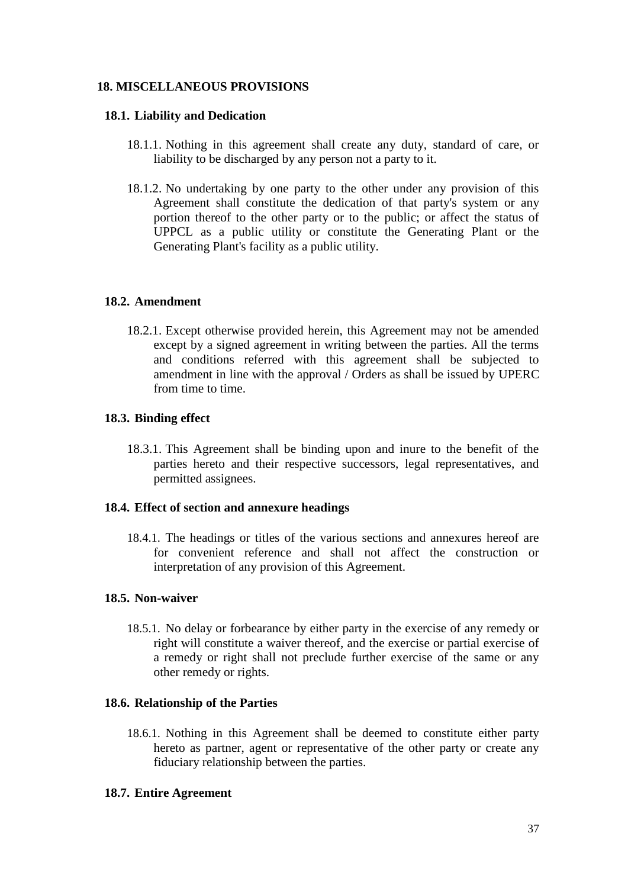## <span id="page-36-0"></span>**18. MISCELLANEOUS PROVISIONS**

#### **18.1. Liability and Dedication**

- 18.1.1. Nothing in this agreement shall create any duty, standard of care, or liability to be discharged by any person not a party to it.
- 18.1.2. No undertaking by one party to the other under any provision of this Agreement shall constitute the dedication of that party's system or any portion thereof to the other party or to the public; or affect the status of UPPCL as a public utility or constitute the Generating Plant or the Generating Plant's facility as a public utility.

#### **18.2. Amendment**

18.2.1. Except otherwise provided herein, this Agreement may not be amended except by a signed agreement in writing between the parties. All the terms and conditions referred with this agreement shall be subjected to amendment in line with the approval / Orders as shall be issued by UPERC from time to time.

#### **18.3. Binding effect**

18.3.1. This Agreement shall be binding upon and inure to the benefit of the parties hereto and their respective successors, legal representatives, and permitted assignees.

#### **18.4. Effect of section and annexure headings**

18.4.1. The headings or titles of the various sections and annexures hereof are for convenient reference and shall not affect the construction or interpretation of any provision of this Agreement.

#### **18.5. Non-waiver**

18.5.1. No delay or forbearance by either party in the exercise of any remedy or right will constitute a waiver thereof, and the exercise or partial exercise of a remedy or right shall not preclude further exercise of the same or any other remedy or rights.

#### **18.6. Relationship of the Parties**

18.6.1. Nothing in this Agreement shall be deemed to constitute either party hereto as partner, agent or representative of the other party or create any fiduciary relationship between the parties.

#### **18.7. Entire Agreement**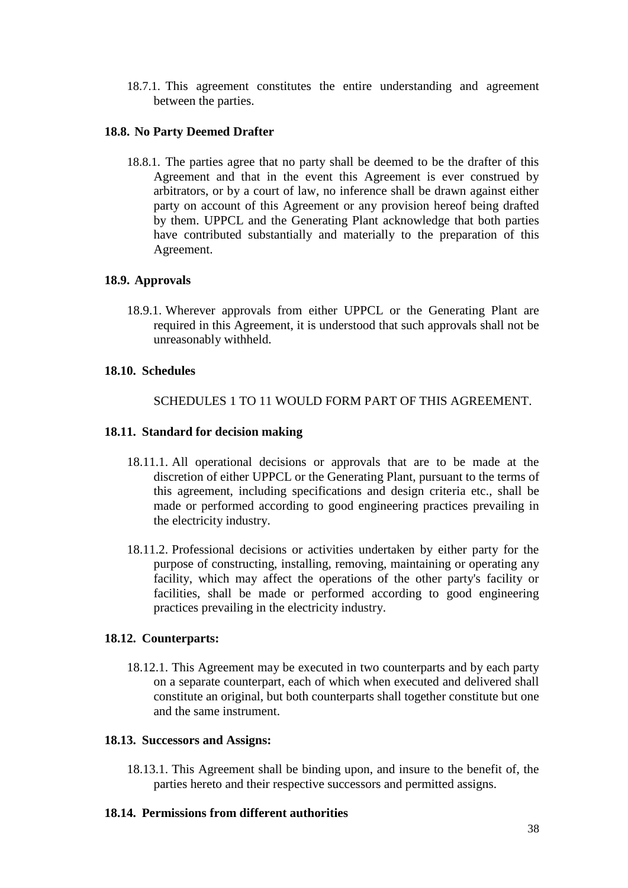18.7.1. This agreement constitutes the entire understanding and agreement between the parties.

### **18.8. No Party Deemed Drafter**

18.8.1. The parties agree that no party shall be deemed to be the drafter of this Agreement and that in the event this Agreement is ever construed by arbitrators, or by a court of law, no inference shall be drawn against either party on account of this Agreement or any provision hereof being drafted by them. UPPCL and the Generating Plant acknowledge that both parties have contributed substantially and materially to the preparation of this Agreement.

### **18.9. Approvals**

18.9.1. Wherever approvals from either UPPCL or the Generating Plant are required in this Agreement, it is understood that such approvals shall not be unreasonably withheld.

#### **18.10. Schedules**

SCHEDULES [1](#page-39-0) TO [11](#page-55-1) WOULD FORM PART OF THIS AGREEMENT.

### **18.11. Standard for decision making**

- 18.11.1. All operational decisions or approvals that are to be made at the discretion of either UPPCL or the Generating Plant, pursuant to the terms of this agreement, including specifications and design criteria etc., shall be made or performed according to good engineering practices prevailing in the electricity industry.
- 18.11.2. Professional decisions or activities undertaken by either party for the purpose of constructing, installing, removing, maintaining or operating any facility, which may affect the operations of the other party's facility or facilities, shall be made or performed according to good engineering practices prevailing in the electricity industry.

#### **18.12. Counterparts:**

18.12.1. This Agreement may be executed in two counterparts and by each party on a separate counterpart, each of which when executed and delivered shall constitute an original, but both counterparts shall together constitute but one and the same instrument.

#### **18.13. Successors and Assigns:**

18.13.1. This Agreement shall be binding upon, and insure to the benefit of, the parties hereto and their respective successors and permitted assigns.

#### **18.14. Permissions from different authorities**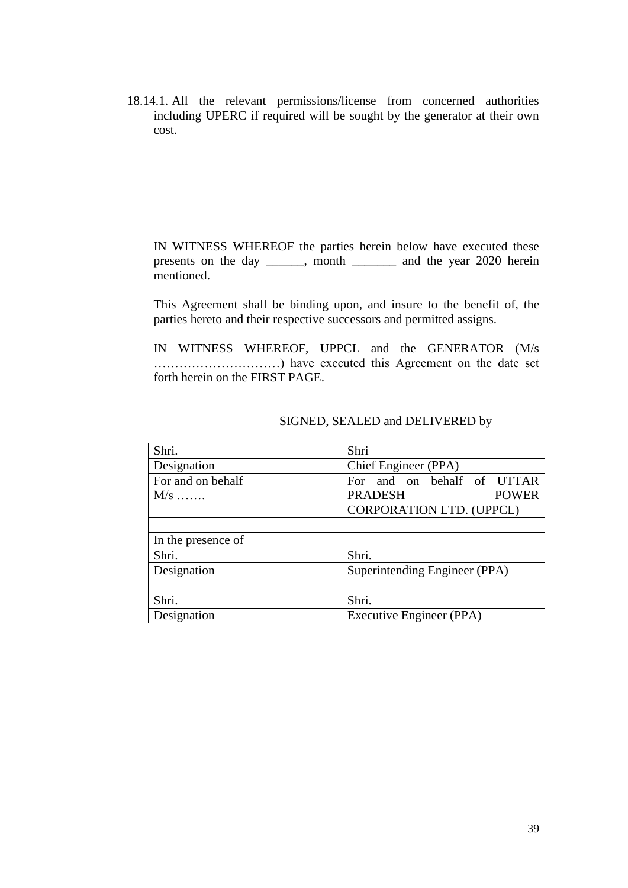18.14.1. All the relevant permissions/license from concerned authorities including UPERC if required will be sought by the generator at their own cost.

IN WITNESS WHEREOF the parties herein below have executed these presents on the day \_\_\_\_\_\_, month \_\_\_\_\_\_\_ and the year 2020 herein mentioned.

This Agreement shall be binding upon, and insure to the benefit of, the parties hereto and their respective successors and permitted assigns.

IN WITNESS WHEREOF, UPPCL and the GENERATOR (M/s …………………………) have executed this Agreement on the date set forth herein on the FIRST PAGE.

| Shri.              | Shri                           |
|--------------------|--------------------------------|
| Designation        | Chief Engineer (PPA)           |
| For and on behalf  | For and on behalf of UTTAR     |
| $M/s$              | <b>PRADESH</b><br><b>POWER</b> |
|                    | CORPORATION LTD. (UPPCL)       |
|                    |                                |
| In the presence of |                                |
| Shri.              | Shri.                          |
| Designation        | Superintending Engineer (PPA)  |
|                    |                                |
| Shri.              | Shri.                          |
| Designation        | Executive Engineer (PPA)       |

#### SIGNED, SEALED and DELIVERED by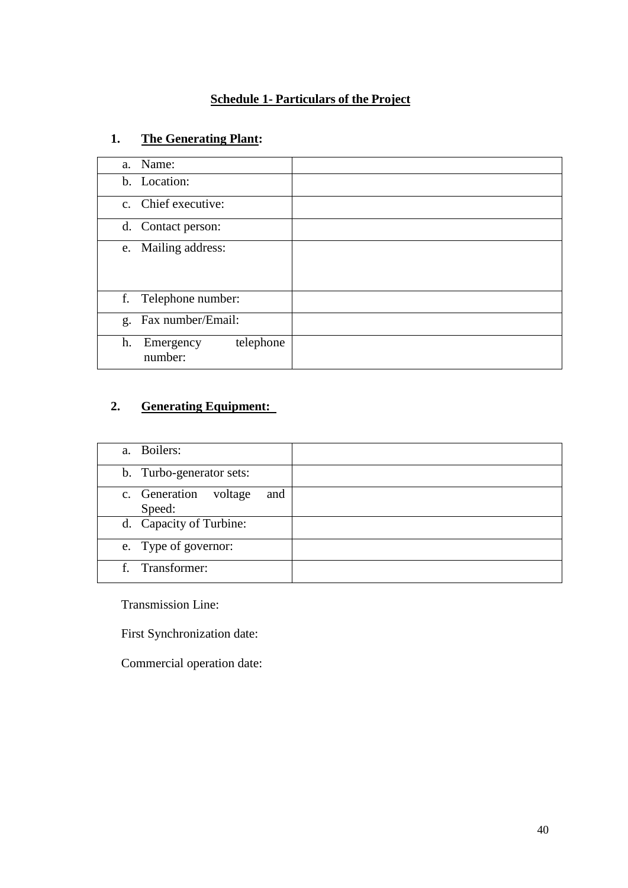## **Schedule 1- Particulars of the Project**

# <span id="page-39-0"></span>**1. The Generating Plant:**

| a. Name:                                |  |
|-----------------------------------------|--|
| b. Location:                            |  |
| c. Chief executive:                     |  |
| d. Contact person:                      |  |
| e. Mailing address:                     |  |
| f. Telephone number:                    |  |
| g. Fax number/Email:                    |  |
| telephone<br>h.<br>Emergency<br>number: |  |

## **2. Generating Equipment:**

| a. Boilers:                               |  |
|-------------------------------------------|--|
| b. Turbo-generator sets:                  |  |
| c. Generation<br>voltage<br>and<br>Speed: |  |
| d. Capacity of Turbine:                   |  |
| e. Type of governor:                      |  |
| f. Transformer:                           |  |

Transmission Line:

First Synchronization date:

Commercial operation date: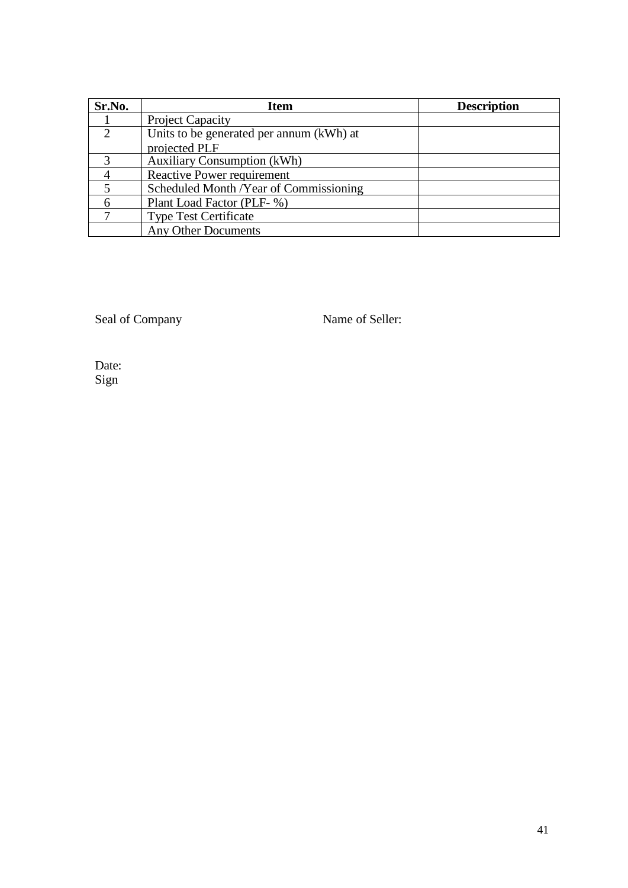| Sr.No.        | <b>Item</b>                              | <b>Description</b> |
|---------------|------------------------------------------|--------------------|
|               | <b>Project Capacity</b>                  |                    |
| $\mathcal{L}$ | Units to be generated per annum (kWh) at |                    |
|               | projected PLF                            |                    |
| $\mathcal{R}$ | <b>Auxiliary Consumption (kWh)</b>       |                    |
|               | Reactive Power requirement               |                    |
|               | Scheduled Month / Year of Commissioning  |                    |
|               | Plant Load Factor (PLF- %)               |                    |
|               | <b>Type Test Certificate</b>             |                    |
|               | <b>Any Other Documents</b>               |                    |

Seal of Company Name of Seller:

Date: Sign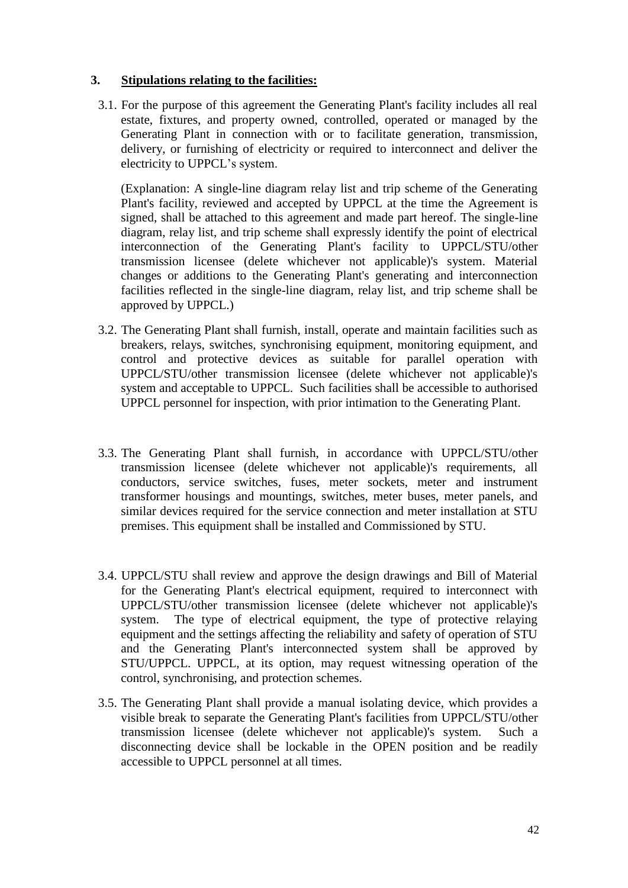### **3. Stipulations relating to the facilities:**

3.1. For the purpose of this agreement the Generating Plant's facility includes all real estate, fixtures, and property owned, controlled, operated or managed by the Generating Plant in connection with or to facilitate generation, transmission, delivery, or furnishing of electricity or required to interconnect and deliver the electricity to UPPCL's system.

(Explanation: A single-line diagram relay list and trip scheme of the Generating Plant's facility, reviewed and accepted by UPPCL at the time the Agreement is signed, shall be attached to this agreement and made part hereof. The single-line diagram, relay list, and trip scheme shall expressly identify the point of electrical interconnection of the Generating Plant's facility to UPPCL/STU/other transmission licensee (delete whichever not applicable)'s system. Material changes or additions to the Generating Plant's generating and interconnection facilities reflected in the single-line diagram, relay list, and trip scheme shall be approved by UPPCL.)

- 3.2. The Generating Plant shall furnish, install, operate and maintain facilities such as breakers, relays, switches, synchronising equipment, monitoring equipment, and control and protective devices as suitable for parallel operation with UPPCL/STU/other transmission licensee (delete whichever not applicable)'s system and acceptable to UPPCL. Such facilities shall be accessible to authorised UPPCL personnel for inspection, with prior intimation to the Generating Plant.
- 3.3. The Generating Plant shall furnish, in accordance with UPPCL/STU/other transmission licensee (delete whichever not applicable)'s requirements, all conductors, service switches, fuses, meter sockets, meter and instrument transformer housings and mountings, switches, meter buses, meter panels, and similar devices required for the service connection and meter installation at STU premises. This equipment shall be installed and Commissioned by STU.
- 3.4. UPPCL/STU shall review and approve the design drawings and Bill of Material for the Generating Plant's electrical equipment, required to interconnect with UPPCL/STU/other transmission licensee (delete whichever not applicable)'s system. The type of electrical equipment, the type of protective relaying equipment and the settings affecting the reliability and safety of operation of STU and the Generating Plant's interconnected system shall be approved by STU/UPPCL. UPPCL, at its option, may request witnessing operation of the control, synchronising, and protection schemes.
- 3.5. The Generating Plant shall provide a manual isolating device, which provides a visible break to separate the Generating Plant's facilities from UPPCL/STU/other transmission licensee (delete whichever not applicable)'s system. Such a disconnecting device shall be lockable in the OPEN position and be readily accessible to UPPCL personnel at all times.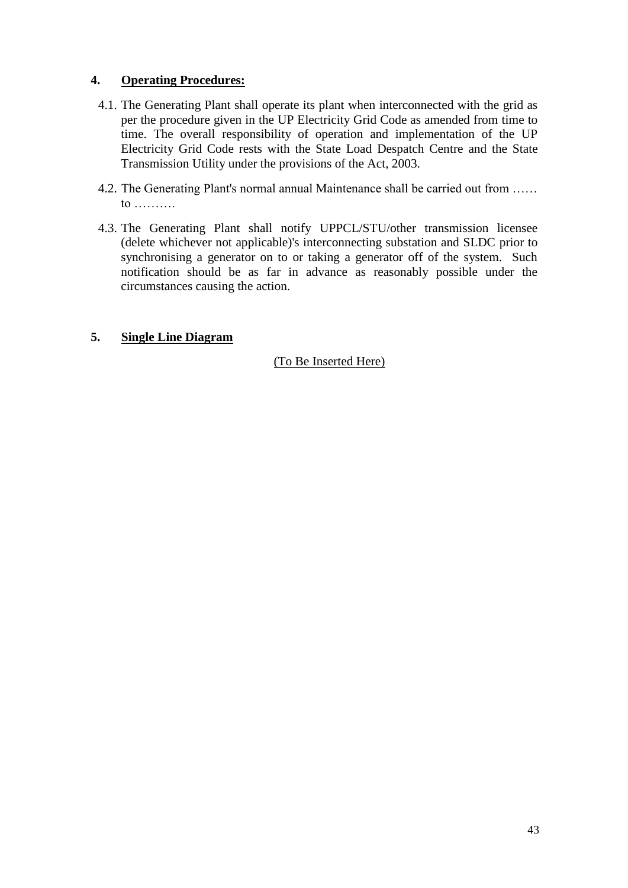## **4. Operating Procedures:**

- 4.1. The Generating Plant shall operate its plant when interconnected with the grid as per the procedure given in the UP Electricity Grid Code as amended from time to time. The overall responsibility of operation and implementation of the UP Electricity Grid Code rests with the State Load Despatch Centre and the State Transmission Utility under the provisions of the Act, 2003.
- 4.2. The Generating Plant's normal annual Maintenance shall be carried out from …… to ……….
- 4.3. The Generating Plant shall notify UPPCL/STU/other transmission licensee (delete whichever not applicable)'s interconnecting substation and SLDC prior to synchronising a generator on to or taking a generator off of the system. Such notification should be as far in advance as reasonably possible under the circumstances causing the action.

## **5. Single Line Diagram**

## (To Be Inserted Here)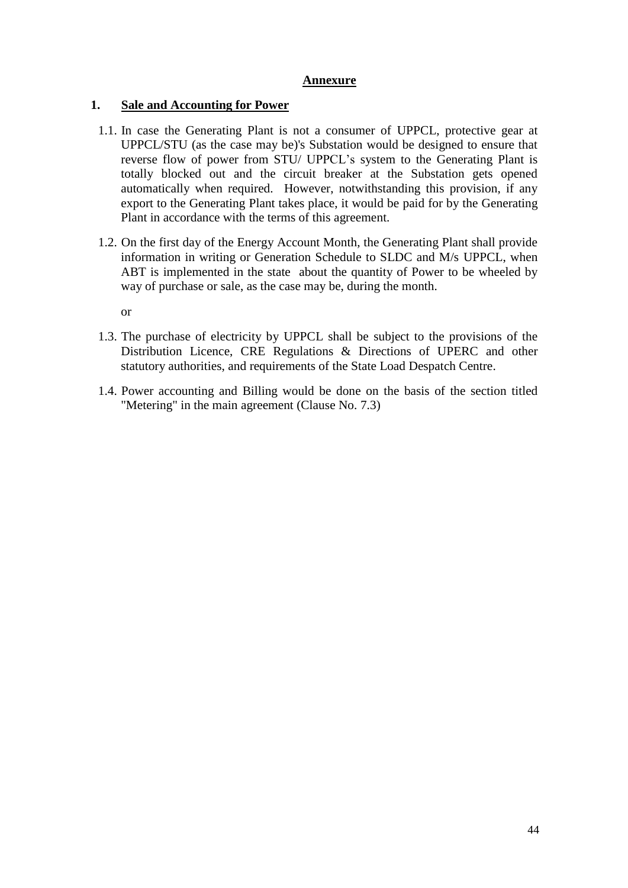### **Annexure**

## **1. Sale and Accounting for Power**

- 1.1. In case the Generating Plant is not a consumer of UPPCL, protective gear at UPPCL/STU (as the case may be)'s Substation would be designed to ensure that reverse flow of power from STU/ UPPCL's system to the Generating Plant is totally blocked out and the circuit breaker at the Substation gets opened automatically when required. However, notwithstanding this provision, if any export to the Generating Plant takes place, it would be paid for by the Generating Plant in accordance with the terms of this agreement.
- 1.2. On the first day of the Energy Account Month, the Generating Plant shall provide information in writing or Generation Schedule to SLDC and M/s UPPCL, when ABT is implemented in the state about the quantity of Power to be wheeled by way of purchase or sale, as the case may be, during the month.

or

- 1.3. The purchase of electricity by UPPCL shall be subject to the provisions of the Distribution Licence, CRE Regulations & Directions of UPERC and other statutory authorities, and requirements of the State Load Despatch Centre.
- 1.4. Power accounting and Billing would be done on the basis of the section titled "Metering" in the main agreement (Clause No. [7.3\)](#page-21-1)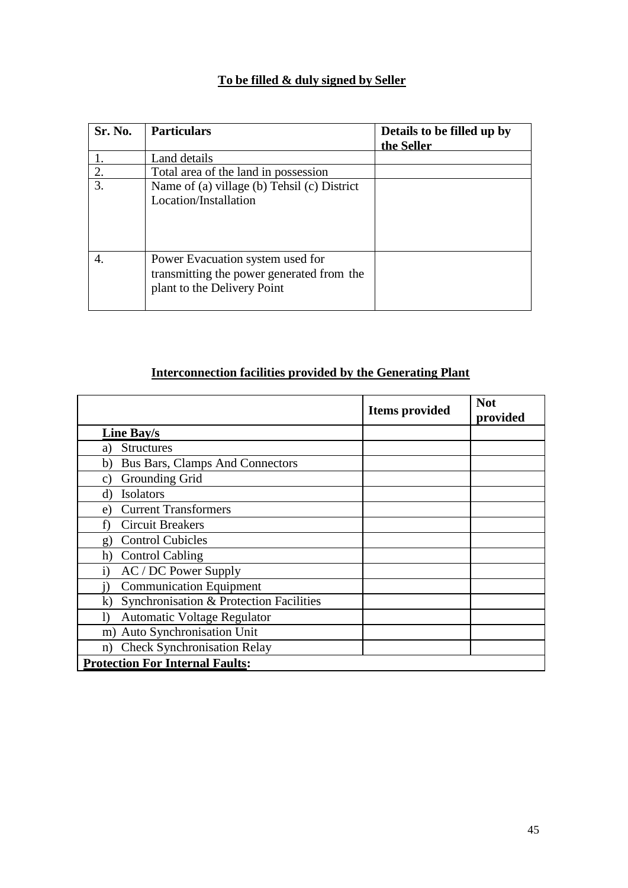# **To be filled & duly signed by Seller**

| Sr. No.          | <b>Particulars</b>                                                                                           | Details to be filled up by<br>the Seller |
|------------------|--------------------------------------------------------------------------------------------------------------|------------------------------------------|
|                  | Land details                                                                                                 |                                          |
| 2.               | Total area of the land in possession                                                                         |                                          |
| $\overline{3}$ . | Name of (a) village (b) Tehsil (c) District<br>Location/Installation                                         |                                          |
| 4.               | Power Evacuation system used for<br>transmitting the power generated from the<br>plant to the Delivery Point |                                          |

# **Interconnection facilities provided by the Generating Plant**

|                                               | <b>Items</b> provided | <b>Not</b><br>provided |  |
|-----------------------------------------------|-----------------------|------------------------|--|
| Line Bay/s                                    |                       |                        |  |
| <b>Structures</b><br>a)                       |                       |                        |  |
| <b>Bus Bars, Clamps And Connectors</b><br>b)  |                       |                        |  |
| Grounding Grid<br>C)                          |                       |                        |  |
| <b>Isolators</b><br>d)                        |                       |                        |  |
| <b>Current Transformers</b><br>e)             |                       |                        |  |
| <b>Circuit Breakers</b><br>f)                 |                       |                        |  |
| <b>Control Cubicles</b><br>g)                 |                       |                        |  |
| <b>Control Cabling</b><br>h)                  |                       |                        |  |
| AC / DC Power Supply<br>$\mathbf{1}$          |                       |                        |  |
| <b>Communication Equipment</b>                |                       |                        |  |
| Synchronisation & Protection Facilities<br>k) |                       |                        |  |
| <b>Automatic Voltage Regulator</b><br>I)      |                       |                        |  |
| m) Auto Synchronisation Unit                  |                       |                        |  |
| <b>Check Synchronisation Relay</b><br>n)      |                       |                        |  |
| <b>Protection For Internal Faults:</b>        |                       |                        |  |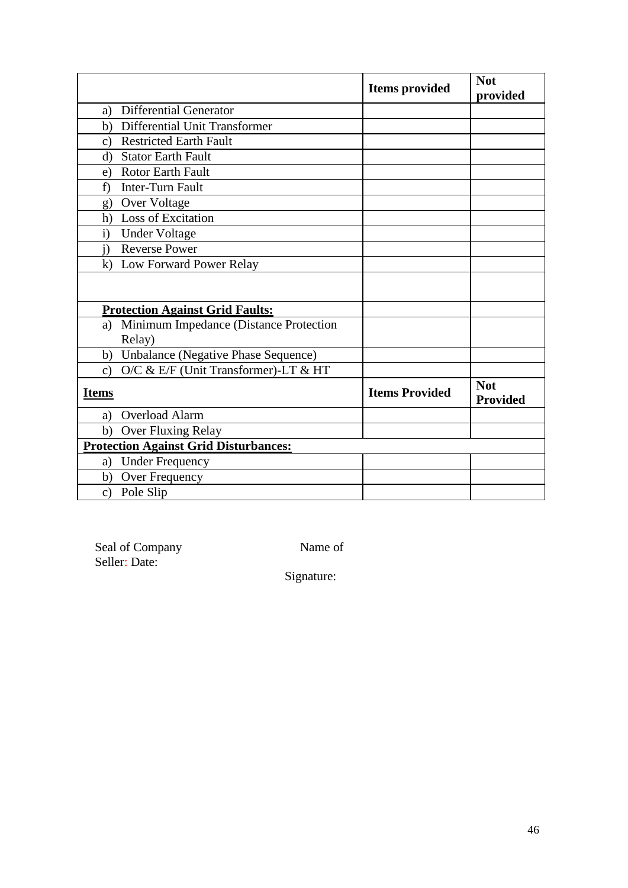|                                                        | <b>Items</b> provided | <b>Not</b><br>provided        |
|--------------------------------------------------------|-----------------------|-------------------------------|
| <b>Differential Generator</b><br>a)                    |                       |                               |
| Differential Unit Transformer<br>b)                    |                       |                               |
| <b>Restricted Earth Fault</b><br>$\mathbf{c}$          |                       |                               |
| <b>Stator Earth Fault</b><br>$\rm d$                   |                       |                               |
| <b>Rotor Earth Fault</b><br>e)                         |                       |                               |
| Inter-Turn Fault<br>f)                                 |                       |                               |
| Over Voltage<br>g)                                     |                       |                               |
| h) Loss of Excitation                                  |                       |                               |
| $\mathbf{i}$<br><b>Under Voltage</b>                   |                       |                               |
| <b>Reverse Power</b><br>$\ddot{1}$                     |                       |                               |
| k) Low Forward Power Relay                             |                       |                               |
|                                                        |                       |                               |
| <b>Protection Against Grid Faults:</b>                 |                       |                               |
| Minimum Impedance (Distance Protection<br>a)           |                       |                               |
| Relay)                                                 |                       |                               |
| b) Unbalance (Negative Phase Sequence)                 |                       |                               |
| O/C & E/F (Unit Transformer)-LT & HT<br>$\mathbf{c}$ ) |                       |                               |
| <b>Items</b>                                           | <b>Items Provided</b> | <b>Not</b><br><b>Provided</b> |
| <b>Overload Alarm</b><br>a)                            |                       |                               |
| Over Fluxing Relay<br>b)                               |                       |                               |
| <b>Protection Against Grid Disturbances:</b>           |                       |                               |
| <b>Under Frequency</b><br>a)                           |                       |                               |
| b) Over Frequency                                      |                       |                               |
| Pole Slip<br>c)                                        |                       |                               |

Seal of Company Name of Seller: Date:

Signature: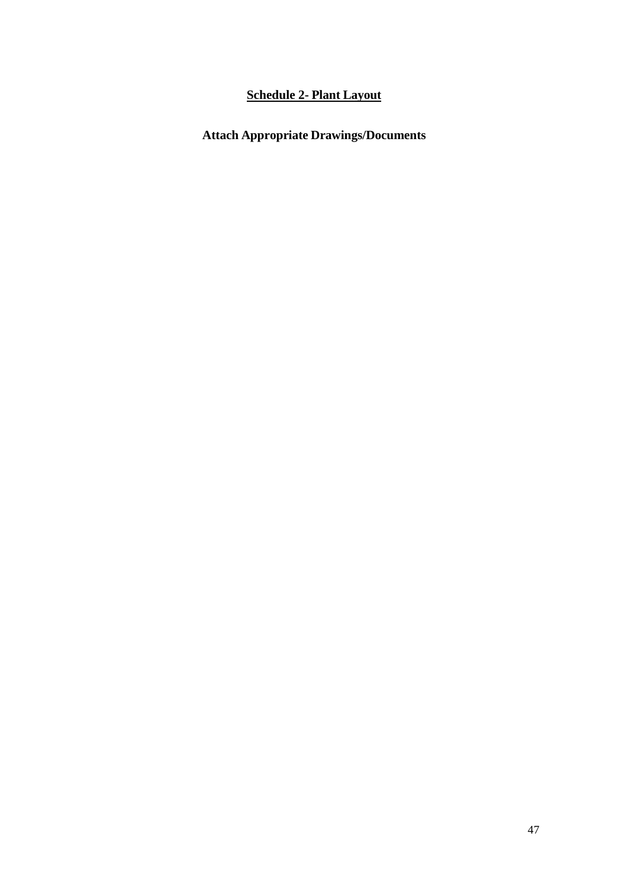# **Schedule 2- Plant Layout**

# <span id="page-46-0"></span>**Attach Appropriate Drawings/Documents**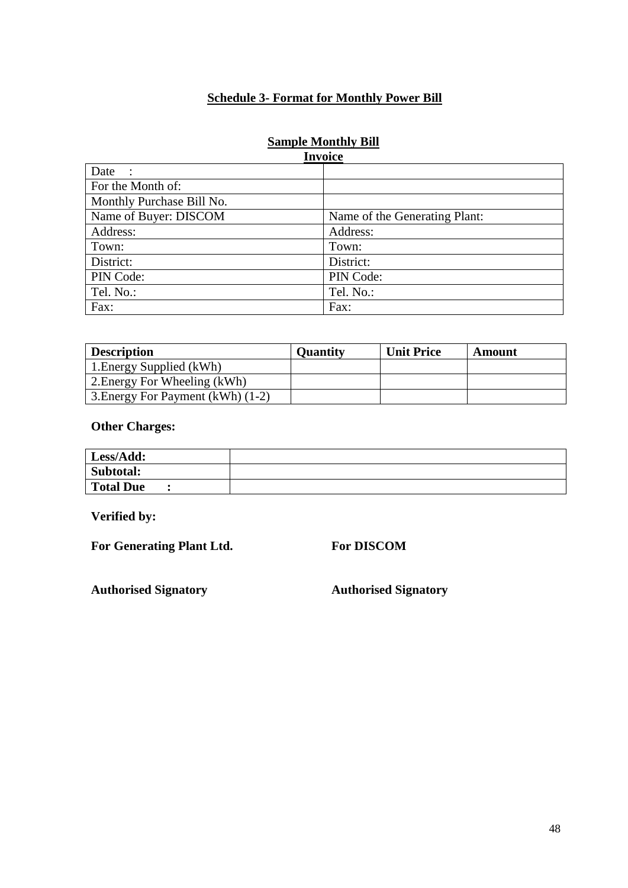## **Schedule 3- Format for Monthly Power Bill**

## **Sample Monthly Bill**

<span id="page-47-0"></span>

| <b>Invoice</b>            |                               |  |
|---------------------------|-------------------------------|--|
| Date<br>$\mathbf{r}$      |                               |  |
| For the Month of:         |                               |  |
| Monthly Purchase Bill No. |                               |  |
| Name of Buyer: DISCOM     | Name of the Generating Plant: |  |
| Address:                  | Address:                      |  |
| Town:                     | Town:                         |  |
| District:                 | District:                     |  |
| PIN Code:                 | PIN Code:                     |  |
| Tel. No.:                 | Tel. No.:                     |  |
| Fax:                      | Fax:                          |  |

| <b>Description</b>                | <b>Quantity</b> | <b>Unit Price</b> | Amount |
|-----------------------------------|-----------------|-------------------|--------|
| 1. Energy Supplied (kWh)          |                 |                   |        |
| 2. Energy For Wheeling (kWh)      |                 |                   |        |
| 3. Energy For Payment (kWh) (1-2) |                 |                   |        |

## **Other Charges:**

| Less/Add:        |  |
|------------------|--|
| Subtotal:        |  |
| <b>Total Due</b> |  |

**Verified by:**

**For Generating Plant Ltd. For DISCOM**

<span id="page-47-1"></span>**Authorised Signatory Authorised Signatory**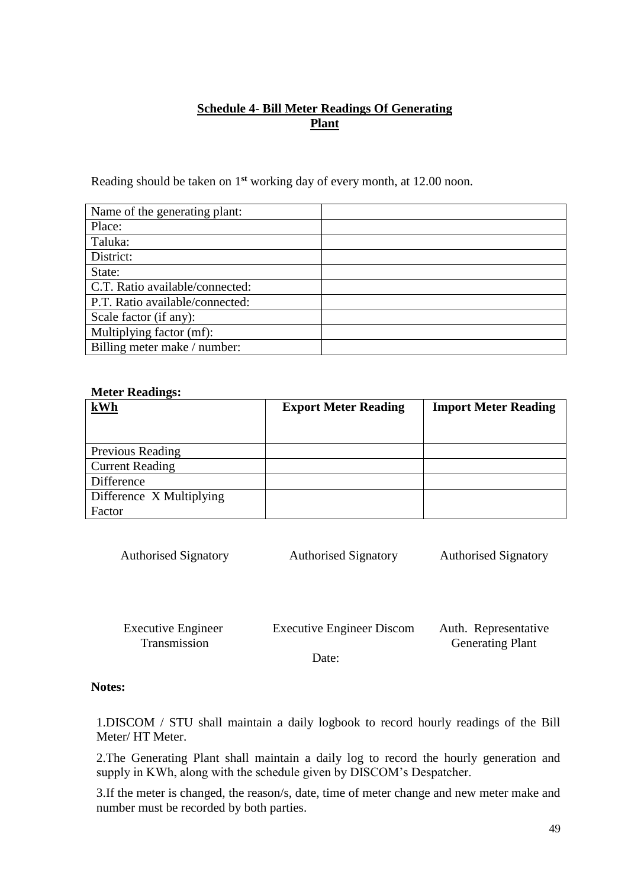## **Schedule 4- Bill Meter Readings Of Generating Plant**

<span id="page-48-0"></span>Reading should be taken on 1**st** working day of every month, at 12.00 noon.

| Name of the generating plant:   |  |
|---------------------------------|--|
| Place:                          |  |
| Taluka:                         |  |
| District:                       |  |
| State:                          |  |
| C.T. Ratio available/connected: |  |
| P.T. Ratio available/connected: |  |
| Scale factor (if any):          |  |
| Multiplying factor (mf):        |  |
| Billing meter make / number:    |  |

#### **Meter Readings:**

| kWh                      | <b>Export Meter Reading</b> | <b>Import Meter Reading</b> |
|--------------------------|-----------------------------|-----------------------------|
|                          |                             |                             |
|                          |                             |                             |
| Previous Reading         |                             |                             |
| <b>Current Reading</b>   |                             |                             |
| Difference               |                             |                             |
| Difference X Multiplying |                             |                             |
| Factor                   |                             |                             |

| <b>Authorised Signatory</b> | <b>Authorised Signatory</b> | <b>Authorised Signatory</b> |
|-----------------------------|-----------------------------|-----------------------------|
|                             |                             |                             |
|                             |                             |                             |
|                             |                             |                             |

| <b>Executive Engineer</b> | <b>Executive Engineer Discom</b> | Auth. Representative    |
|---------------------------|----------------------------------|-------------------------|
| <b>Transmission</b>       |                                  | <b>Generating Plant</b> |
|                           |                                  |                         |

Date:

## **Notes:**

1.DISCOM / STU shall maintain a daily logbook to record hourly readings of the Bill Meter/ HT Meter.

2.The Generating Plant shall maintain a daily log to record the hourly generation and supply in KWh, along with the schedule given by DISCOM's Despatcher.

3.If the meter is changed, the reason/s, date, time of meter change and new meter make and number must be recorded by both parties.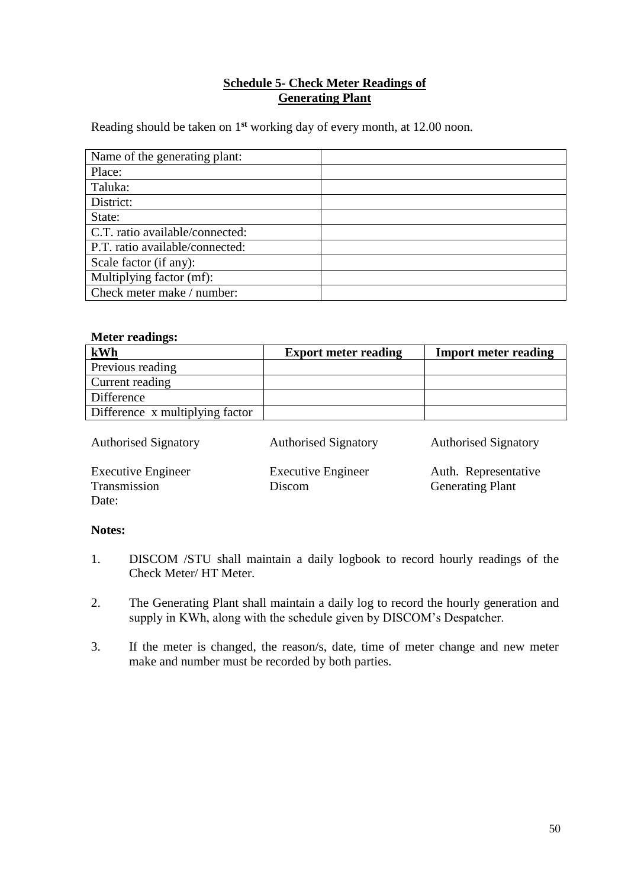## **Schedule 5- Check Meter Readings of Generating Plant**

<span id="page-49-0"></span>Reading should be taken on 1**st** working day of every month, at 12.00 noon.

| Name of the generating plant:   |  |
|---------------------------------|--|
| Place:                          |  |
| Taluka:                         |  |
| District:                       |  |
| State:                          |  |
| C.T. ratio available/connected: |  |
| P.T. ratio available/connected: |  |
| Scale factor (if any):          |  |
| Multiplying factor (mf):        |  |
| Check meter make / number:      |  |

### **Meter readings:**

| kWh                             | <b>Export meter reading</b> | <b>Import meter reading</b> |
|---------------------------------|-----------------------------|-----------------------------|
| Previous reading                |                             |                             |
| Current reading                 |                             |                             |
| Difference                      |                             |                             |
| Difference x multiplying factor |                             |                             |

| <b>Authorised Signatory</b>                        | <b>Authorised Signatory</b>         | <b>Authorised Signatory</b>                     |
|----------------------------------------------------|-------------------------------------|-------------------------------------------------|
| <b>Executive Engineer</b><br>Transmission<br>Date: | <b>Executive Engineer</b><br>Discom | Auth. Representative<br><b>Generating Plant</b> |

#### **Notes:**

- 1. DISCOM /STU shall maintain a daily logbook to record hourly readings of the Check Meter/ HT Meter.
- 2. The Generating Plant shall maintain a daily log to record the hourly generation and supply in KWh, along with the schedule given by DISCOM's Despatcher.
- 3. If the meter is changed, the reason/s, date, time of meter change and new meter make and number must be recorded by both parties.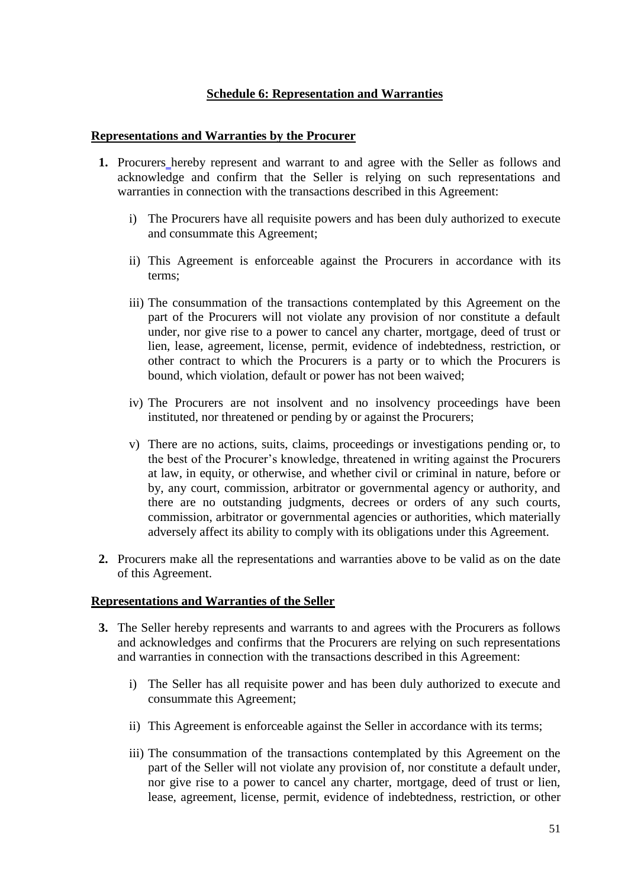## **Schedule 6: Representation and Warranties**

#### <span id="page-50-0"></span>**Representations and Warranties by the Procurer**

- **1.** Procurers hereby represent and warrant to and agree with the Seller as follows and acknowledge and confirm that the Seller is relying on such representations and warranties in connection with the transactions described in this Agreement:
	- i) The Procurers have all requisite powers and has been duly authorized to execute and consummate this Agreement;
	- ii) This Agreement is enforceable against the Procurers in accordance with its terms;
	- iii) The consummation of the transactions contemplated by this Agreement on the part of the Procurers will not violate any provision of nor constitute a default under, nor give rise to a power to cancel any charter, mortgage, deed of trust or lien, lease, agreement, license, permit, evidence of indebtedness, restriction, or other contract to which the Procurers is a party or to which the Procurers is bound, which violation, default or power has not been waived;
	- iv) The Procurers are not insolvent and no insolvency proceedings have been instituted, nor threatened or pending by or against the Procurers;
	- v) There are no actions, suits, claims, proceedings or investigations pending or, to the best of the Procurer's knowledge, threatened in writing against the Procurers at law, in equity, or otherwise, and whether civil or criminal in nature, before or by, any court, commission, arbitrator or governmental agency or authority, and there are no outstanding judgments, decrees or orders of any such courts, commission, arbitrator or governmental agencies or authorities, which materially adversely affect its ability to comply with its obligations under this Agreement.
- **2.** Procurers make all the representations and warranties above to be valid as on the date of this Agreement.

#### **Representations and Warranties of the Seller**

- **3.** The Seller hereby represents and warrants to and agrees with the Procurers as follows and acknowledges and confirms that the Procurers are relying on such representations and warranties in connection with the transactions described in this Agreement:
	- i) The Seller has all requisite power and has been duly authorized to execute and consummate this Agreement;
	- ii) This Agreement is enforceable against the Seller in accordance with its terms;
	- iii) The consummation of the transactions contemplated by this Agreement on the part of the Seller will not violate any provision of, nor constitute a default under, nor give rise to a power to cancel any charter, mortgage, deed of trust or lien, lease, agreement, license, permit, evidence of indebtedness, restriction, or other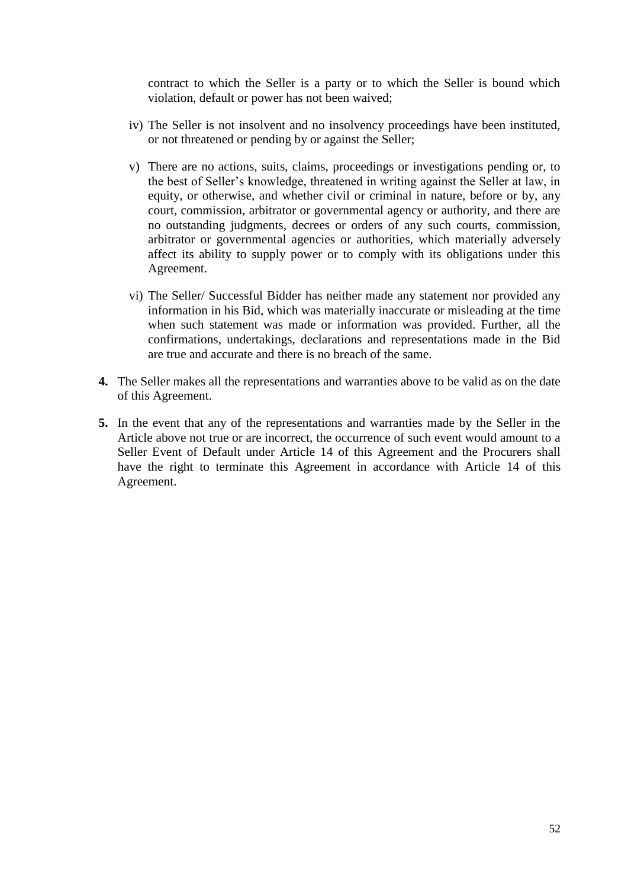contract to which the Seller is a party or to which the Seller is bound which violation, default or power has not been waived;

- iv) The Seller is not insolvent and no insolvency proceedings have been instituted, or not threatened or pending by or against the Seller;
- v) There are no actions, suits, claims, proceedings or investigations pending or, to the best of Seller's knowledge, threatened in writing against the Seller at law, in equity, or otherwise, and whether civil or criminal in nature, before or by, any court, commission, arbitrator or governmental agency or authority, and there are no outstanding judgments, decrees or orders of any such courts, commission, arbitrator or governmental agencies or authorities, which materially adversely affect its ability to supply power or to comply with its obligations under this Agreement.
- vi) The Seller/ Successful Bidder has neither made any statement nor provided any information in his Bid, which was materially inaccurate or misleading at the time when such statement was made or information was provided. Further, all the confirmations, undertakings, declarations and representations made in the Bid are true and accurate and there is no breach of the same.
- **4.** The Seller makes all the representations and warranties above to be valid as on the date of this Agreement.
- **5.** In the event that any of the representations and warranties made by the Seller in the Article above not true or are incorrect, the occurrence of such event would amount to a Seller Event of Default under Article 14 of this Agreement and the Procurers shall have the right to terminate this Agreement in accordance with Article 14 of this Agreement.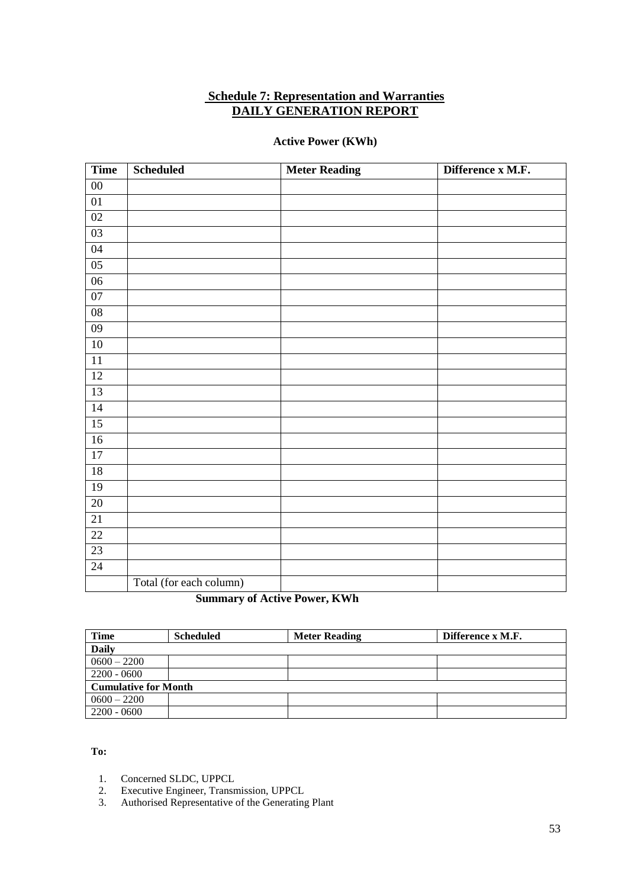#### <span id="page-52-0"></span>**Schedule 7: Representation and Warranties DAILY GENERATION REPORT**

#### **Active Power (KWh)**

| <b>Time</b>     | <b>Scheduled</b>        | <b>Meter Reading</b> | Difference x M.F. |
|-----------------|-------------------------|----------------------|-------------------|
| ${\bf 00}$      |                         |                      |                   |
| $0 \\ 1$        |                         |                      |                   |
| 02              |                         |                      |                   |
| 03              |                         |                      |                   |
| 04              |                         |                      |                   |
| 05              |                         |                      |                   |
| 06              |                         |                      |                   |
| 07              |                         |                      |                   |
| $\overline{08}$ |                         |                      |                   |
| 09              |                         |                      |                   |
| 10              |                         |                      |                   |
| $\overline{11}$ |                         |                      |                   |
| 12              |                         |                      |                   |
| 13              |                         |                      |                   |
| 14              |                         |                      |                   |
| $\overline{15}$ |                         |                      |                   |
| 16              |                         |                      |                   |
| 17              |                         |                      |                   |
| $\overline{18}$ |                         |                      |                   |
| 19              |                         |                      |                   |
| 20              |                         |                      |                   |
| 21              |                         |                      |                   |
| $\overline{22}$ |                         |                      |                   |
| $\overline{23}$ |                         |                      |                   |
| $\overline{24}$ |                         |                      |                   |
|                 | Total (for each column) |                      |                   |

## **Summary of Active Power, KWh**

| Time                        | <b>Scheduled</b> | <b>Meter Reading</b> | Difference x M.F. |
|-----------------------------|------------------|----------------------|-------------------|
| <b>Daily</b>                |                  |                      |                   |
| $0600 - 2200$               |                  |                      |                   |
| $2200 - 0600$               |                  |                      |                   |
| <b>Cumulative for Month</b> |                  |                      |                   |
| $0600 - 2200$               |                  |                      |                   |
| $2200 - 0600$               |                  |                      |                   |

#### **To:**

- 1. Concerned SLDC, UPPCL<br>2. Executive Engineer, Transr
- 2. Executive Engineer, Transmission, UPPCL
- 3. Authorised Representative of the Generating Plant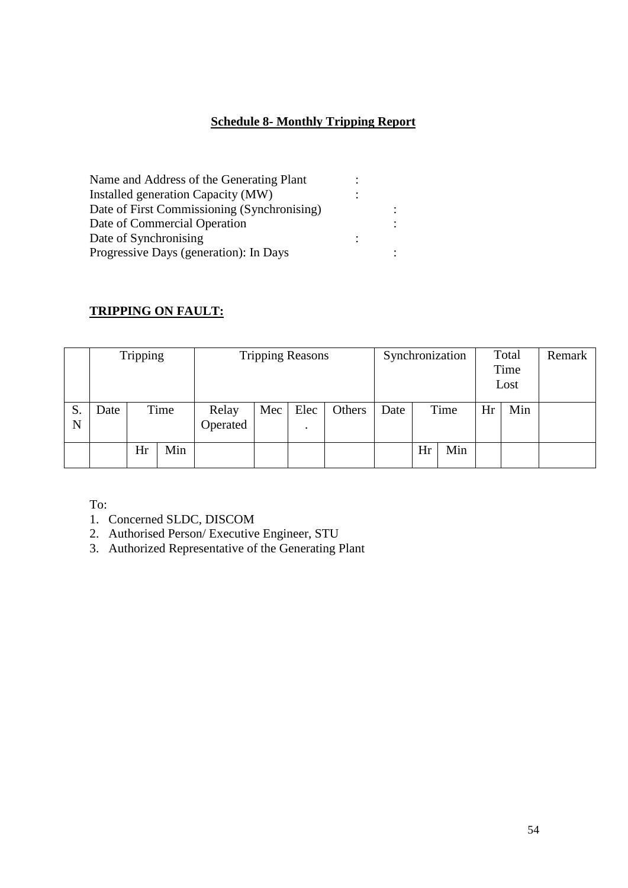# **Schedule 8- Monthly Tripping Report**

<span id="page-53-0"></span>

| Name and Address of the Generating Plant    |  |
|---------------------------------------------|--|
| Installed generation Capacity (MW)          |  |
| Date of First Commissioning (Synchronising) |  |
| Date of Commercial Operation                |  |
| Date of Synchronising                       |  |
| Progressive Days (generation): In Days      |  |

## **TRIPPING ON FAULT:**

|         |      | <b>Tripping</b> |      |                   |     | Synchronization<br><b>Tripping Reasons</b><br>Total<br>Time<br>Lost |        |      |      |     |    |     | Remark |
|---------|------|-----------------|------|-------------------|-----|---------------------------------------------------------------------|--------|------|------|-----|----|-----|--------|
| S.<br>N | Date |                 | Time | Relay<br>Operated | Mec | Elec                                                                | Others | Date | Time |     | Hr | Min |        |
|         |      | Hr              | Min  |                   |     |                                                                     |        |      | Hr   | Min |    |     |        |

To:

1. Concerned SLDC, DISCOM

2. Authorised Person/ Executive Engineer, STU

3. Authorized Representative of the Generating Plant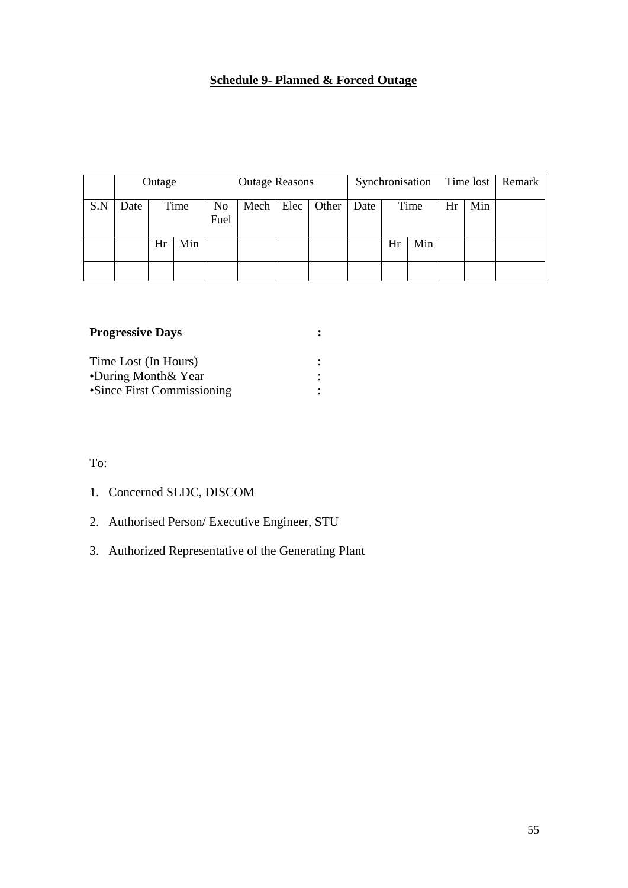# **Schedule 9- Planned & Forced Outage**

<span id="page-54-0"></span>

|     |      | <b>Outage Reasons</b><br>Outage |      |                        |           |  |       | Synchronisation |    |      |    |     | Time lost   Remark |
|-----|------|---------------------------------|------|------------------------|-----------|--|-------|-----------------|----|------|----|-----|--------------------|
| S.N | Date |                                 | Time | N <sub>0</sub><br>Fuel | Mech Elec |  | Other | Date            |    | Time | Hr | Min |                    |
|     |      | Hr                              | Min  |                        |           |  |       |                 | Hr | Min  |    |     |                    |
|     |      |                                 |      |                        |           |  |       |                 |    |      |    |     |                    |

| <b>Progressive Days</b>    |  |
|----------------------------|--|
| Time Lost (In Hours)       |  |
| •During Month & Year       |  |
| •Since First Commissioning |  |

#### To:

- 1. Concerned SLDC, DISCOM
- 2. Authorised Person/ Executive Engineer, STU
- 3. Authorized Representative of the Generating Plant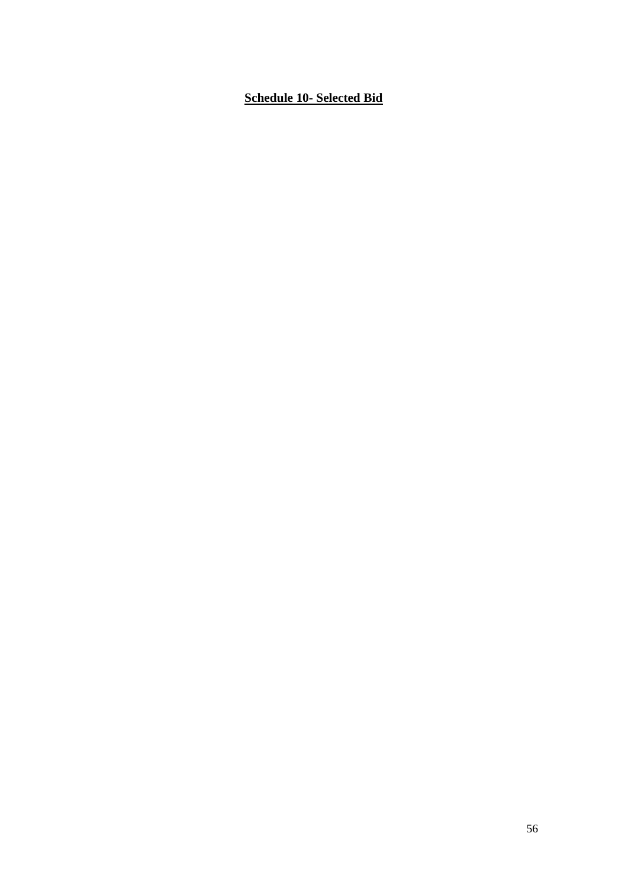## <span id="page-55-1"></span><span id="page-55-0"></span>**Schedule 10- Selected Bid**